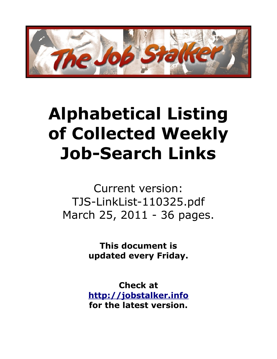

## **Alphabetical Listing of Collected Weekly Job-Search Links**

Current version: TJS-LinkList-110325.pdf March 25, 2011 - 36 pages.

> **This document is updated every Friday.**

> **Check at [http://jobstalker.info](http://jobstalker.info/) for the latest version.**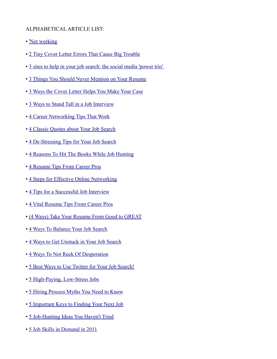## ALPHABETICAL ARTICLE LIST:

- • ['Net working](http://www.nypost.com/p/news/business/jobs/net_working_xLfN0gZmlCFLe7lgHZQe7N/0)
- • [2 Tiny Cover Letter Errors That Cause Big Trouble](http://www.pongoresume.com/blogPosts/613/2-tiny-cover-letter-errors-that-cause-big-trouble.cfm)
- • [3 sites to help in your job search: the social media 'power trio'](http://www.examiner.com/x-14006-Richmond-Social-Media-Examiner~y2010m2d16-test-image)
- • [3 Things You Should Never Mention on Your Resume](http://www.careerrocketeer.com/2010/06/3-things-you-should-never-mention-on.html)
- • [3 Ways the Cover Letter Helps You Make Your Case](http://www.pongoresume.com/blogPosts/681/3-ways-the-cover-letter-helps-you-make-your-case.cfm)
- • [3 Ways to Stand Tall in a Job Interview](http://www.pongoresume.com/blogPosts/623/3-ways-to-stand-tall-in-a-job-interview.cfm)
- • [4 Career Networking Tips That Work](http://hotjobs.yahoo.com/career-articles-4_career_networking_tips_that_work-1287)
- • [4 Classic Quotes about Your Job Search](http://www.careerjockey.org/4-classic-quotes-about-your-job-search/)
- • [4 De-Stressing Tips for Your Job Search](http://www.careerealism.com/4-de-stressing-tips-for-your-job-search/)
- • [4 Reasons To Hit The Books While Job Hunting](http://www.karenburnsworkinggirl.com/?p=1608)
- • [4 Resume Tips From Career Pros](http://employmentdigest.net/2011/02/4-resume-tips-from-career-pros)
- • [4 Steps for Effective Online Networking](http://mashable.com/2010/01/05/effective-online-networking/)
- • [4 Tips for a Successful Job Interview](http://www.careerrocketeer.com/2009/10/4-tips-for-successful-job-interview.html)
- • [4 Vital Resume Tips From Career Pros](http://www.theundercoverrecruiter.com/content/4-vital-resume-tips-career-pros)
- • [\(4 Ways\) Take Your Resume From Good to GREAT](http://www.careerealism.com/4-waystake-your-resume-from-good-to-great/)
- • [4 Ways To Balance Your Job Search](http://www.mnheadhunter.com/mh/2010/10/4-ways-to-balance-your-job-search.html)
- • [4 Ways to Get Unstuck in Your Job Search](http://www.startribune.com/jobs/career/80206777.html?elr=KArksD:aDyaEP:kD:aU2EkP7K_t:aDyaEP:kD:aUiD3aPc:_Yyc:aUU)
- • [4 Ways To Not Reek Of Desperation](http://www.twistimage.com/blog/archives/4-ways-to-not-reek-of-desperation/)
- • [5 Best Ways to Use Twitter for Your Job Search!](http://www.careerrocketeer.com/2010/06/5-best-ways-to-use-twitter-for-your-job.html)
- • [5 High-Paying, Low-Stress Jobs](http://finance.yahoo.com/career-work/article/109521/5-high-paying-low-stress-jobs?mod=career-worklife_balance)
- • [5 Hiring Process Myths You Need to Know](http://www.careerealism.com/hiring-process-myths/)
- • [5 Important Keys to Finding Your Next Job](http://www.employmentdigest.net/2010/06/5-important-keys-to-finding-your-next-job)
- • [5 Job-Hunting Ideas You Haven't Tried](http://money.usnews.com/money/blogs/outside-voices-careers/2011/01/26/5-job-hunting-ideas-you-havent-tried)
- • [5 Job Skills in Demand in 2011](http://www.careerealism.com/job-skills-demand-2011)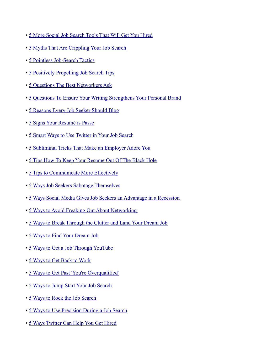- • [5 More Social Job Search Tools That Will Get You Hired](http://www.socialtimes.com/2010/11/more-social-job-search-tool/)
- • [5 Myths That Are Crippling Your Job Search](http://money.usnews.com/money/blogs/outside-voices-careers/2010/07/12/5-myths-that-are-crippling-your-job-search.html)
- • [5 Pointless Job-Search Tactics](http://hotjobs.yahoo.com/career-experts-5_pointless_job_search_tactics-123)
- • [5 Positively Propelling Job Search Tips](http://www.talentculture.com/career/positively-propelling-job-search-tips/)
- • [5 Questions The Best Networkers Ask](http://www.businessinsider.com/the-5-questions-master-networkers-ask-2010-6)
- • [5 Questions To Ensure Your Writing Strengthens Your Personal Brand](http://www.personalbrandingblog.com/5-questions-to-ensure-your-writing-strengthens-your-personal-brand/)
- • [5 Reasons Every Job Seeker Should Blog](http://college.monster.com/training/articles/1314-5-reasons-every-job-seeker-should-blog)
- • [5 Signs Your Resumé is Passé](http://insidetech.monster.com/careers/articles/5658-5-signs-your-resum-is-pass)
- • [5 Smart Ways to Use Twitter in Your Job Search](http://money.usnews.com/money/blogs/outside-voices-careers/2011/2/1/5-smart-ways-to-use-twitter-in-your-job-search.html)
- • [5 Subliminal Tricks That Make an Employer Adore You](http://newgradlife.blogspot.com/2010/04/get-job-ace-interview_22.html)
- • [5 Tips How To Keep Your Resume Out Of The Black Hole](http://impacthiringsolutions.com/careerblog/2010/02/17/5-tips-how-to-keep-your-resume-out-of-the-black-hole/)
- • [5 Tips to Communicate More Effectively](http://www.personalbrandingblog.com/5-tips-to-communicate-more-effectively/)
- • [5 Ways Job Seekers Sabotage Themselves](http://www.usnews.com/money/blogs/outside-voices-careers/2010/06/14/5-ways-job-seekers-sabotage-themselves.html)
- • [5 Ways Social Media Gives Job Seekers an Advantage in a Recession](http://recareered.blogspot.com/2009/11/5-ways-social-media-gives-job-seekers.html)
- • [5 Ways to Avoid Freaking Out About Networking](http://www.45things.com/2010/02/5-ways-to-avoid-freaking-out-about.php)
- • [5 Ways to Break Through the Clutter and Land Your Dream Job](http://blogs.forbes.com/danschawbel/2011/03/20/dream-job/)
- • [5 Ways to Find Your Dream Job](http://lindsayolson.com/5-ways-to-find-your-dream-job/)
- • [5 Ways to Get a Job Through YouTube](http://mashable.com/2010/10/23/youtube-job/)
- • [5 Ways to Get Back to Work](http://www.employmentdigest.net/2010/10/5-ways-to-get-back-to-work/)
- • [5 Ways to Get Past 'You're Overqualified'](http://hotjobs.yahoo.com/career-experts-143)
- • [5 Ways to Jump Start Your Job Search](http://blog.doostang.com/2010/02/17/5-ways-to-jump-start-your-job-search)
- • [5 Ways to Rock the Job Search](http://blogging4jobs.com/job-search/5-ways-to-rock-the-job-search)
- • [5 Ways to Use Precision During a Job Search](http://insights.execunet.com/index.php/comments/5_ways_to_use_precision_during_a_job_search//more)
- • [5 Ways Twitter Can Help You Get Hired](http://www.lemondrop.com/2010/05/06/5-ways-twitter-can-help-you-get-hired/)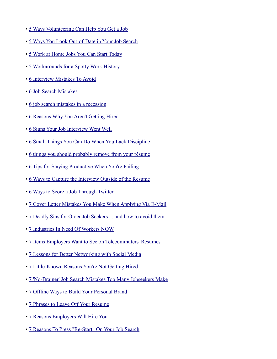- • [5 Ways Volunteering Can Help You Get a Job](http://hotjobs.yahoo.com/career-articles-5_ways_volunteering_can_help_you_get_a_job-1124)
- • [5 Ways You Look Out-of-Date in Your Job Search](http://www.job-hunt.org/job-search-news/2011/02/12/5-ways-you-look-out-of-date-in-your-job-search/)
- • [5 Work at Home Jobs You Can Start Today](http://www.innovativepassiveincome.com/work-at-home-jobs/)
- • [5 Workarounds for a Spotty Work History](http://hotjobs.yahoo.com/career-experts-5_workarounds_for_a_spotty_work_history-152)
- • [6 Interview Mistakes To Avoid](http://www.cscyphers.com/blog/2010/04/12/interview-mistakes/)
- • [6 Job Search Mistakes](http://media.www.simpsonslate.com/media/storage/paper1296/news/2010/03/24/News/6.Job.Search.Mistakes-3895103.shtml)
- • [6 job search mistakes in a recession](http://www.cnn.com/2010/LIVING/worklife/03/22/cb.job.search.mistakes/index.html)
- • [6 Reasons Why You Aren't Getting Hired](http://saleshq.monster.com/careers/articles/3682-6-reasons-why-you-arent-getting-hired)
- • [6 Signs Your Job Interview Went Well](http://newgradlife.blogspot.com/2010/05/6-signs-your-job-interview-went-well.html)
- • [6 Small Things You Can Do When You Lack Discipline](http://zenhabits.net/6-small-things-you-can-do-when-you-lack-discipline/)
- • [6 things you should probably remove from your résumé](http://www.theworkbuzz.com/career-advice/things-you-should-remove-from-your-resume/)
- • [6 Tips for Staying Productive When You're Failing](http://aroundtuitorganizing.com/2011/02/6-tips-for-surviving-failure/)
- • [6 Ways to Capture the Interview Outside of the Resume](http://www.careerrocketeer.com/2010/11/6-ways-to-capture-the-interview-outside-of-the-resume.html)
- • [6 Ways to Score a Job Through Twitter](http://mashable.com/2010/11/27/twitter-job-tips/)
- • [7 Cover Letter Mistakes You Make When Applying Via E-Mail](http://www.employmentdigest.net/2010/03/7-cover-letter-mistakes-you-make-when-applying-via-e-mail/)
- • [7 Deadly Sins for Older Job Seekers ... and how to avoid them.](http://www.aarp.org/work/job-hunting/info-11-2009/seven_deadly_sins_for_older_job_seekers.3.html)
- • [7 Industries In Need Of Workers NOW](http://www.huffingtonpost.com/2010/08/26/7-industries-in-need-of-w_n_693173.html)
- • [7 Items Employers Want to See on Telecommuters' Resumes](http://webworkerdaily.com/2010/05/28/7-items-employers-want-to-see-on-telecommuters-resumes/)
- • [7 Lessons for Better Networking with Social Media](http://mashable.com/2010/01/18/better-social-networking/)
- • [7 Little-Known Reasons You're Not Getting Hired](http://www.usnews.com/money/blogs/outside-voices-careers/2010/5/12/7-little-known-reasons-youre-not-getting-hired.ht%20ml)
- • [7 'No-Brainer' Job Search Mistakes Too Many Jobseekers Make](http://www.employmentdigest.net/2010/11/7-%E2%80%98no-brainer%E2%80%99-job-search-mistakes-too-many-jobseekers-make/)
- • [7 Offline Ways to Build Your Personal Brand](http://www.personalbrandingblog.com/7-offline-ways-to-build-your-personal-brand)
- • [7 Phrases to Leave Off Your Resume](http://newgradlife.blogspot.com/2010/07/resume-writing-service-get-job-careers.html)
- • [7 Reasons Employers Will Hire You](http://www.theundercoverrecruiter.com/content/7-reasons-employers-will-hire-you)
- • [7 Reasons To Press "Re-Start" On Your Job Search](http://blog.spinstrategy.com/2009/12/7-reasons-to-press-restart-on-your-job-search.html)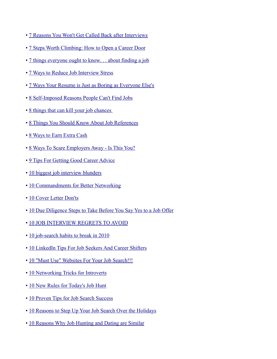- • [7 Reasons You Won't Get Called Back after Interviews](http://www.pongoresume.com/blogPosts/610/7-reasons-you-won-t-get-called-back-after-interviews.cfm)
- • [7 Steps Worth Climbing: How to Open a Career Door](http://www.careerealism.com/7-steps-worth-climbing-how-to-open-a-career-door/)
- • [7 things everyone ought to know. . . about finding a job](http://www.willenglishiv.com/7-things-everyone-ought-to-know-about-finding-a-job/)
- • [7 Ways to Reduce Job Interview Stress](http://money.usnews.com/money/blogs/outside-voices-careers/2010/9/14/7-proven-ways-to-reduce-job-interview-stress.html)
- • [7 Ways Your Resume is Just as Boring as Everyone Else's](http://www.careerrocketeer.com/2010/04/7-ways-your-resume-is-just-as-boring-as.html)
- • [8 Self-Imposed Reasons People Can't Find Jobs](http://www.thewisejobsearch.com/2009/08/8-self-imposed-reasons-people-cant-find.html)
- • [8 things that can kill your job chances](http://www.theworkbuzz.com/interviews/body-language-killers/)
- • [8 Things You Should Know About Job References](http://money.usnews.com/money/blogs/outside-voices-careers/2011/2/14/8-things-you-should-know-about-job-references.html)
- • [8 Ways to Earn Extra Cash](http://www.theworkbuzz.com/job-search/8-ways-to-earn-extra-cash/)
- • [8 Ways To Scare Employers Away Is This You?](http://timsstrategy.com/8-ways-to-scare-employers-away-is-this-you/)
- • [9 Tips For Getting Good Career Advice](http://www.usnews.com/money/blogs/outside-voices-careers/2010/1/20/9-tips-to-avoid-taking-bad-career-advice.html)
- • [10 biggest job interview blunders](http://money.cnn.com/2009/11/18/news/economy/interview.blunders.fortune/index.htm)
- • [10 Commandments for Better Networking](http://www.careerrocketeer.com/2010/05/10-commandments-for-better-networking.html)
- • [10 Cover Letter Don'ts](http://career-advice.monster.com/resumes-cover-letters/cover-letter-tips/10-cover-letter-donts/article.aspx)
- • [10 Due Diligence Steps to Take Before You Say Yes to a Job Offer](http://www.avidcareerist.com/2010/05/27/job-offer-due-diligence/)
- • [10 JOB INTERVIEW REGRETS TO AVOID](http://timsstrategy.com/10-job-interview-regrets-to-avoid/)
- • [10 job-search habits to break in 2010](http://www.sfgate.com/cgi-bin/blogs/gettowork/detail?entry_id=56813)
- • [10 LinkedIn Tips For Job Seekers And Career Shifters](http://www.careerhubblog.com/main/2010/11/10-linkedin-tips-for-job-seekers-and-career-shifters.html)
- • [10 "Must Use" Websites For Your Job Search!!!](http://www.thewisejobsearch.com/2009/04/there-is-wealth-of-job-search-tools.html)
- • [10 Networking Tricks for Introverts](http://www.usnews.com/money/blogs/outside-voices-careers/2009/12/16/10-networking-tips-for-introverts.html)
- • [10 New Rules for Today's Job Hunt](http://finance.yahoo.com/news/10-New-Rules-for-Todays-Job-usnews-4094775035.html?x=0)
- • [10 Proven Tips for Job Search Success](http://job-search-success-secrets.com/blog/10-proven-tips-job-search-success)
- • [10 Reasons to Step Up Your Job Search Over the Holidays](http://money.usnews.com/money/blogs/outside-voices-careers/2010/12/1/10-reasons-to-step-up-your-job-search-over-the-holidays.html)
- • [10 Reasons Why Job Hunting and Dating are Similar](http://www.prlog.org/11299121-bajobscoms-10-reasons-why-job-hunting-and-dating-are-similar.html)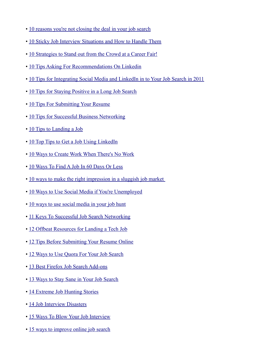- • [10 reasons you're not closing the deal in your job search](http://blogs.techrepublic.com.com/10things/?p=1186)
- • [10 Sticky Job Interview Situations and How to Handle Them](http://www.quintcareers.com/sticky_job_interview_situations.html)
- • [10 Strategies to Stand out from the Crowd at a Career Fair!](http://www.careerrocketeer.com/2010/02/10-strategies-to-stand-out-from-crowd.html)
- • [10 Tips Asking For Recommendations On Linkedin](http://timsstrategy.com/10-tips-asking-for-recommendations-on-linkedin/)
- • [10 Tips for Integrating Social Media and LinkedIn in to Your Job Search in 2011](http://windmillnetworking.com/2011/02/25/tips-integrating-social-media-linkedin-job-search-2011/#more-4362)
- • [10 Tips for Staying Positive in a Long Job Search](http://www.pongoresume.com/blogPosts/698/10-tips-for-staying-positive-in-a-long-job-search.cfm)
- • [10 Tips For Submitting Your Resume](http://money.usnews.com/money/blogs/outside-voices-careers/2010/11/22/10-tips-for-submitting-your-resume.html)
- • [10 Tips for Successful Business Networking](http://pdsquared.net/vludwig/networking/business-networking-tips)
- • [10 Tips to Landing a Job](http://www.benzinga.com/press-releases/b98747/10-tips-to-landing-a-job)
- • [10 Top Tips to Get a Job Using LinkedIn](http://www.employmentdigest.net/2010/06/10-top-tips-to-get-a-job-using-linkedin/)
- • [10 Ways to Create Work When There's No Work](http://www.careerrocketeer.com/2010/02/10-ways-to-create-work-when-theres-no.html)
- • [10 Ways To Find A Job In 60 Days Or Less](http://timsstrategy.com/10-ways-to-find-a-job-in-60-days-or-less/)
- • [10 ways to make the right impression in a sluggish job market](http://www.examiner.com/x-828-Entry-Level-Careers-Examiner~y2010m3d15-10-ways-to-make-the-right-impression-in-a-sluggish-job-market)
- • [10 Ways to Use Social Media if You're Unemployed](http://orange-envelopes.com/blog/2010/01/13/10-ways-to-use-social-media-if-youre-unemployed/)
- • [10 ways to use social media in your job hunt](http://management.fortune.cnn.com/2011/01/13/10-ways-to-use-social-media-in-your-job-hunt/)
- • [11 Keys To Successful Job Search Networking](http://www.careerrocketeer.com/2009/06/11-keys-to-successful-job-search.html)
- • [12 Offbeat Resources for Landing a Tech Job](http://gigaom.com/2009/11/20/12-offbeat-resources-for-landing-a-tech-job/)
- • [12 Tips Before Submitting Your Resume Online](http://shine.yahoo.com/channel/life/12-tips-before-submitting-your-resume-online-2172753/)
- • [12 Ways to Use Quora For Your Job Search](http://mashable.com/2011/02/13/quora-job-search)
- • [13 Best Firefox Job Search Add-ons](http://jobmob.co.il/blog/firefox-job-search-add-ons/)
- • [13 Ways to Stay Sane in Your Job Search](http://money.usnews.com/money/blogs/outside-voices-careers/2010/9/2/13-ways-to-stay-sane-in-your-job-search.html)
- • [14 Extreme Job Hunting Stories](http://www.mainstreet.com/slideshow/career/employment/14-extreme-job-hunting-stories)
- • [14 Job Interview Disasters](http://www.businessinsider.com/nightmare-interview-tales-2010-11)
- • [15 Ways To Blow Your Job Interview](http://www.businessinsider.com/henry-blodget-15-ways-to-blow-your-job-interview-2010-1#why-not-just-kick-the-company%20-dog-while-youre-at-it-1)
- • [15 ways to improve online job search](http://www.ajc.com/business/15-ways-to-improve-569757.html)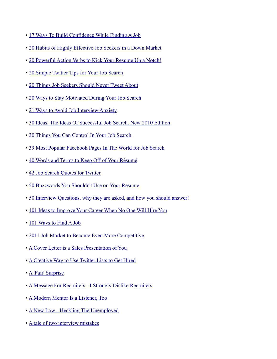- • [17 Ways To Build Confidence While Finding A Job](http://timsstrategy.com/17-ways-to-build-confidence-while-finding-a-job/)
- • [20 Habits of Highly Effective Job Seekers in a Down Market](http://www.medhunters.com/articles/habitsOfHighlyEffectiveJobSeekersInADownMarket.html?type=news&source=health-general-02-23-10)
- • [20 Powerful Action Verbs to Kick Your Resume Up a Notch!](http://www.careerealism.com/20-powerful-action-verbs-kick-resume-notch/)
- • [20 Simple Twitter Tips for Your Job Search](http://blogs.siliconindia.com/SatishSoren/20_Simple_Twitter_Tips_for_Your_Job_Search-bid-807bOm5q45778359.html)
- • [20 Things Job Seekers Should Never Tweet About](http://blog.resumebear.com/2010/06/23/20-things-job-seekers-should-never-tweet-about/)
- • [20 Ways to Stay Motivated During Your Job Search](http://money.usnews.com/money/blogs/outside-voices-careers/2010/10/19/20-ways-to-stay-motivated-during-your-job-search.html)
- • [21 Ways to Avoid Job Interview Anxiety](http://money.usnews.com/money/blogs/outside-voices-careers/2010/10/27/21-ways-to-avoid-job-interview-anxiety.html)
- • [30 Ideas. The Ideas Of Successful Job Search. New 2010 Edition](http://timsstrategy.com/30-ideas-the-ideas-of-successful-job-search-new-2010-edition/)
- • [30 Things You Can Control In Your Job Search](http://recareered.blogspot.com/2010/07/30-things-you-can-control-in-your-job.html)
- • [39 Most Popular Facebook Pages In The World for Job Search](http://jobmob.co.il/blog/facebook-pages-job-search-2010/)
- • [40 Words and Terms to Keep Off of Your Résumé](http://www.aarp.org/work/job-hunting/info-01-2011/ask_sid_resume_tips.html)
- • [42 Job Search Quotes for Twitter](http://joblounge.blogspot.com/2009/11/42-job-search-quotes-for-twitter.html)
- • [50 Buzzwords You Shouldn't Use on Your Resume](http://money.usnews.com/money/blogs/outside-voices-careers/2010/11/17/50-buzzwords-you-shouldnt-use-on-your-resume.html)
- • [50 Interview Questions, why they are asked, and how you should answer!](http://www.australiaworks.com.au/interview-tips/50_job_interview_questions_and_answers/)
- • [101 Ideas to Improve Your Career When No One Will Hire You](http://www.connectworkchicago.com/2010/07/101-ideas-to-improve-your-career-when-no-one-will-hire-you/)
- • [101 Ways to Find A Job](http://www.trcb.com/employment/getting-the-job/101-ways-to-find-a-job-19593.htm)
- • [2011 Job Market to Become Even More Competitive](http://www.personalbrandingblog.com/2011-job-market-to-become-even-more-competitive)
- • [A Cover Letter is a Sales Presentation of You](http://career-advice.monster.com/job-interview/interview-preparation/interviewers-pet-peeves/article.aspx)
- • [A Creative Way to Use Twitter Lists to Get Hired](http://www.cornonthejob.com/social-media/a-creative-way-to-use-twitter-lists-to-get-hired/)
- • [A 'Fair' Surprise](http://www.careerrocketeer.com/2010/01/fair-surprise.html)
- • [A Message For Recruiters I Strongly Dislike Recruiters](http://www.veronicaludwig.com/message-recruiters/)
- • [A Modern Mentor Is a Listener, Too](http://www.nytimes.com/2010/06/06/jobs/06career.html)
- • [A New Low Heckling The Unemployed](http://open.salon.com/blog/margaret_feike/2010/12/21/a_new_low_-_heckling_the_unemployed)
- • [A tale of two interview mistakes](http://askamanager.blogspot.com/2009/12/tale-of-two-interview-mistakes.html)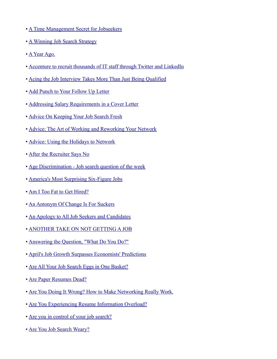- • [A Time Management Secret for Jobseekers](http://www.jobswot.com/a-time-management-secret-for-jobseekers/)
- • [A Winning Job Search Strategy](http://career-advice.monster.com/job-search/getting-started/a-winning-job-search-strategy/article.aspx?WT.mc_n=SM_PR_Twt_monstercareers)
- • [A Year Ago.](http://jbordeaux.com/a-year-ago/)
- • [Accenture to recruit thousands of IT staff through Twitter and LinkedIn](http://www.computerweekly.com/Articles/2010/06/24/241736/Accenture-to-recruit-thousands-of-IT-staff-through-Twitter-and.htm)
- • [Acing the Job Interview Takes More Than Just Being Qualified](http://www.employmentdigest.net/2010/02/acing-the-job-interview-takes-more-than-just-being-qualified/)
- • [Add Punch to Your Follow Up Letter](http://blog.doostang.com/2010/06/02/add-punch-to-your-follow-up-letter)
- • [Addressing Salary Requirements in a Cover Letter](http://www.employmentdigest.net/2010/06/addressing-salary-requirements-in-a-cover-letter)
- • [Advice On Keeping Your Job Search Fresh](http://www.glassdoor.com/blog/advice-keeping-job-search-fresh/)
- • [Advice: The Art of Working and Reworking Your Network](http://blogs.wsj.com/laidoff/2009/12/11/advice-the-art-of-working-and-reworking-your-network/)
- • [Advice: Using the Holidays to Network](http://blogs.wsj.com/laidoff/2009/12/28/advice-using-the-holidays-to-network/?mod=rss_WSJBlog)
- • [After the Recruiter Says No](http://hotjobs.yahoo.com/career-articles-after_the_recruiter_says_no-1161)
- • [Age Discrimination Job search question of the week](http://recareered.blogspot.com/2010/03/age-discrimination-job-search-question.html)
- • [America's Most Surprising Six-Figure Jobs](http://www.forbes.com/2010/05/28/six-figure-jobs-leadership-careers-salary.html)
- • [Am I Too Fat to Get Hired?](http://www.bnet.com/blog/evil-hr-lady/am-i-too-fat-to-get-hired/627)
- • [An Antonym Of Change Is For Suckers](http://www.veronicaludwig.com/an-antonym-of-change-is-for-suckers/)
- • [An Apology to All Job Seekers and Candidates](http://thetalentbuzz.com/2010/04/an-apology-to-all-job-seekers/)
- • [ANOTHER TAKE ON NOT GETTING A JOB](http://melissacooley.com/2009/08/another-take-on-not-getting-a-job/)
- • [Answering the Question, "What Do You Do?"](http://www.employmentdigest.net/2010/11/answering-the-question-%E2%80%9Cwhat-do-you-do%E2%80%9D/)
- • [April's Job Growth Surpasses Economists' Predictions](http://thehiringsite.careerbuilder.com/2010/05/11/aprils-job-growth-surpasses-economists-predictions/)
- • [Are All Your Job Search Eggs in One Basket?](http://www.employmentdigest.net/2010/01/are-all-your-job-search-eggs-in-one-basket/)
- • [Are Paper Resumes Dead?](http://www.employmentdigest.net/2010/09/are-paper-resumes-dead/)
- • [Are You Doing It Wrong? How to Make Networking Really Work.](http://hotjobs.yahoo.com/career-articles-are_you_doing_it_wrong_tips_to_make_networking_really_work-1227)
- • [Are You Experiencing Resume Information Overload?](http://www.employmentdigest.net/2010/03/are-you-experiencing-resume-information-overload/)
- • [Are you in control of your job search?](http://www.thewisejobsearch.com/2010/03/are-you-in-control-of-your-job-search.html)
- • [Are You Job Search Weary?](http://www.careerrocketeer.com/2011/03/are-you-job-search-weary.html)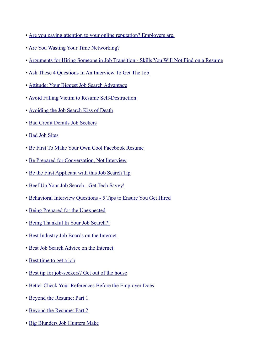- • [Are you paying attention to your online reputation? Employers are.](http://www.theworkbuzz.com/career-advice/online-reputation/)
- • [Are You Wasting Your Time Networking?](http://matrixresourcesblog.com/2010/03/29/are-you-wasting-your-time-networking/)
- • [Arguments for Hiring Someone in Job Transition Skills You Will Not Find on a Resume](http://candidateschair.com/arguments-for-hiring-someone-in-job-transition-%E2%80%93-skills-you-will-not-find-on-a-resume/)
- • [Ask These 4 Questions In An Interview To Get The Job](http://www.businessinsider.com/ask-these-4-questions-in-an-interview-to-get-the-job-2010-10)
- • [Attitude: Your Biggest Job Search Advantage](http://www.approachthemarket.co.uk/index.php?option=com_wordpress&p=657&Itemid=63)
- • [Avoid Falling Victim to Resume Self-Destruction](http://www.employmentdigest.net/2010/05/avoid-falling-victim-to-resume-self-destruction/)
- • [Avoiding the Job Search Kiss of Death](http://blogging4jobs.com/social-media/avoiding-the-job-search-kiss-of-death)
- • [Bad Credit Derails Job Seekers](http://online.wsj.com/article/SB10001424052748703909804575123611107626180.html?mod=WSJ_hpp_sections_careerjournal)
- • [Bad Job Sites](http://jobsearch.about.com/b/2010/05/15/bad-job-sites.htm)
- • [Be First To Make Your Own Cool Facebook Resume](http://jobmob.co.il/blog/facebook-resume/)
- • [Be Prepared for Conversation, Not Interview](http://www.culpwrit.com/2010/05/16/be-prepared-for-conversation-not-interview/)
- • [Be the First Applicant with this Job Search Tip](http://www.careerealism.com/first-applicant-job-search-tip)
- • [Beef Up Your Job Search Get Tech Savvy!](http://blog.doostang.com/2010/11/10/beef-up-your-job-search-get-tech-savvy)
- • [Behavioral Interview Questions 5 Tips to Ensure You Get Hired](http://www.employmentdigest.net/2010/02/behavioral-interview-questions-5-tips-to-ensure-you-get-hired/)
- • [Being Prepared for the Unexpected](http://rodneysjobquest.wordpress.com/2010/01/30/being-prepared-unexpected/)
- • [Being Thankful In Your Job Search?!](http://www.careerrocketeer.com/2010/12/being-thankful-in-your-job-search.html)
- • [Best Industry Job Boards on the Internet](http://www.jobconcierge.com/best-industry-job-boards/)
- • [Best Job Search Advice on the Internet](http://www.jobconcierge.com/best-job-search-advice/)
- • [Best time to get a job](http://money.cnn.com/2009/12/04/news/economy/job_seasons/)
- • [Best tip for job-seekers? Get out of the house](http://www.twitterjobsearch.com/jobbar/aHR0cDovL3d3dy5zdW50aW1lcy5jb20vYnVzaW5lc3MvMTkwNTg4MixDU1QtTldTLWpvYmJsdWVzMjYuYXJ0aWNsZQ==/Best%20tip%20for%20job-seekers%3F%20Get%20out%20of%20the%20house/twitjobsearch)
- • [Better Check Your References Before the Employer Does](http://exclusive-executive-resumes.com/resumes/better-check-your-references-before-the-employer-does/)
- • [Beyond the Resume: Part 1](http://www.careerrocketeer.com/2010/05/beyond-resume-part-1.html)
- • [Beyond the Resume: Part 2](http://www.careerrocketeer.com/2010/06/beyond-resume-part-2.html)
- • [Big Blunders Job Hunters Make](http://online.wsj.com/article/SB10001424052748703615104575328641186507512.html?mod=WSJ_hps_MIDDLETopStories)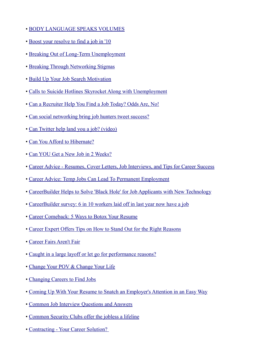- • [BODY LANGUAGE SPEAKS VOLUMES](http://melissacooley.com/2010/07/body-language-speaks-volumes/)
- • [Boost your resolve to find a job in '10](http://www.lansingstatejournal.com/article/20091228/NEWS03/912280323/1004/NEWS03)
- • [Breaking Out of Long-Term Unemployment](http://career-advice.monster.com/job-search/getting-started/breaking-out-of-longterm-unemployment-hot-jobs/article.aspx)
- • [Breaking Through Networking Stigmas](http://www.careerrocketeer.com/2009/11/breaking-networking-stigmas.html)
- • [Build Up Your Job Search Motivation](http://www.careerbuilder.com/Article/CB-1619-Job-Search-Build-Up-Your-Job-Search-Motivation/)
- • [Calls to Suicide Hotlines Skyrocket Along with Unemployment](http://uspoverty.change.org/blog/view/calls_to_suicide_hotlines_skyrocket_along_with_unemployment)
- • [Can a Recruiter Help You Find a Job Today? Odds Are, No!](http://www.employmentdigest.net/2010/04/can-a-recruiter-help-you-find-a-job-today-odds-are-no/)
- • [Can social networking bring job hunters tweet success?](http://www.guardian.co.uk/money/2010/feb/20/social-networking-twitter-job-hunting)
- • [Can Twitter help land you a job? \(video\)](http://www.cnn.com/video/?/video/tech/2010/06/24/wu.twitter.jobs.cnn)
- • [Can You Afford to Hibernate?](http://matrixresources.wordpress.com/2009/12/03/can-you-afford-to-hibernate/)
- • [Can YOU Get a New Job in 2 Weeks?](http://www.careerrocketeer.com/2011/01/can-you-get-a-new-job-in-2-weeks.html)
- • [Career Advice Resumes, Cover Letters, Job Interviews, and Tips for Career Success](http://careers.stateuniversity.com/)
- • [Career Advice: Temp Jobs Can Lead To Permanent Employment](http://www.secretsofthejobhunt.com/profiles/blogs/career-advice-temp-jobs-can)
- • [CareerBuilder Helps to Solve 'Black Hole' for Job Applicants with New Technology](http://www.prnewswire.com/news-releases/careerbuilder-helps-to-solve-black-hole-for-job-applicants-with-new-technolo%20gy-95499779.html)
- • [CareerBuilder survey: 6 in 10 workers laid off in last year now have a job](http://www.ledger-enquirer.com/news/breaking_news/story/999752.html)
- • [Career Comeback: 5 Ways to Botox Your Resume](http://www.more.com/2010/23645-career-comeback-5-ways-to)
- • [Career Expert Offers Tips on How to Stand Out for the Right Reasons](http://www.pitchengine.com/free-release.php?id=48356)
- • [Career Fairs Aren't Fair](http://www.connectworkchicago.com/2010/05/career-fairs-arent-fair/)
- • [Caught in a large layoff or let go for performance reasons?](http://matrixresourcesblog.com/2010/06/28/caught-in-a-large-layoff-or-let-go-for-performance%C2%A0reasons/)
- • [Change Your POV & Change Your Life](http://blogging4jobs.com/job-search/change-your-pov-change-your-life)
- • [Changing Careers to Find Jobs](http://matrixresourcesblog.com/2010/06/08/changing-careers-to-find%C2%A0jobs/)
- • [Coming Up With Your Resume to Snatch an Employer's Attention in an Easy Way](http://www.employmentdigest.net/2010/03/coming-up-with-your-resume-to-snatch-an-employers-attention-in-an-easy-way/)
- • [Common Job Interview Questions and Answers](http://www.seattleinterviewcoach.com/answers-to-common-job-interview-questions.html)
- • [Common Security Clubs offer the jobless a lifeline](http://www.latimes.com/news/opinion/commentary/la-oe-hochschild-unemployed-20100523,0,6283470.story)
- • [Contracting Your Career Solution?](http://www.getinterviews.com/index.php?option=com_content&task=view&id=92&Itemid=44)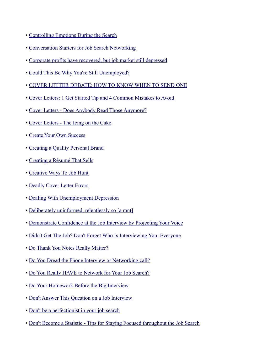- • [Controlling Emotions During the Search](http://blogs.wsj.com/laidoff/2009/11/23/controlling-emotions-during-the-search/)
- • [Conversation Starters for Job Search Networking](http://employmentdigest.net/2011/02/conversation-starters-for-job-search-networking/)
- • [Corporate profits have recovered, but job market still depressed](http://www.epi.org/economic_snapshots/entry/corporate_profits_have_recovered_but_job_market_still_depressed/)
- • [Could This Be Why You're Still Unemployed?](http://jobmob.co.il/blog/imposter-syndrome/)
- • [COVER LETTER DEBATE: HOW TO KNOW WHEN TO SEND ONE](http://blog.brand-yourself.com/brand-yourselfcom/cover-letter-debate-how-to-know-when-to-send-one/)
- • [Cover Letters: 1 Get Started Tip and 4 Common Mistakes to Avoid](http://www.careerrocketeer.com/2011/03/cover-letters-1-get-started-tip-and-4-common-mistakes-to-avoid.html)
- • [Cover Letters Does Anybody Read Those Anymore?](http://www.employmentdigest.net/2010/06/cover-letters-does-anybody-read-those-anymore/)
- • [Cover Letters The Icing on the Cake](http://www.employmentdigest.net/2010/01/cover-letters-the-icing-on-the-cake-2/)
- • [Create Your Own Success](http://www.troyclaus.com/change-can-be-fun/)
- • [Creating a Quality Personal Brand](http://rodneysjobquest.wordpress.com/2009/12/07/quality-personal-brand/)
- • [Creating a Résumé That Sells](http://online.barrons.com/article/SB10001424052748704431804574539403154677622.html)
- • [Creative Ways To Job Hunt](http://www.karenburnsworkinggirl.com/?p=1899)
- • [Deadly Cover Letter Errors](http://blog.doostang.com/2009/12/16/deadly-cover-letter-errors)
- • [Dealing With Unemployment Depression](http://employmentdigest.net/2011/02/dealing-with-unemployment-depression)
- • [Deliberately uninformed, relentlessly so \[a rant\]](http://sethgodin.typepad.com/seths_blog/2010/10/deliberately-uninformed-relentlessly-so.html)
- • [Demonstrate Confidence at the Job Interview by Projecting Your Voice](http://blog.seattleinterviewcoach.com/2010/09/demonstrate-confidence-at-job-interview.html)
- • [Didn't Get The Job? Don't Forget Who Is Interviewing You: Everyone](http://www.glassdoor.com/blog/didnt-job-dont-forget-interviewing/)
- • [Do Thank You Notes Really Matter?](http://www.careerrocketeer.com/2009/06/do-thank-you-notes-really-matter.html)
- • [Do You Dread the Phone Interview or Networking call?](http://blog.helpmyresume.info/2010/09/25/do-you-dread-the-phone-interview-or-networking-call/)
- • [Do You Really HAVE to Network for Your Job Search?](http://www.careerrocketeer.com/2009/07/do-you-really-have-to-network-for-your.html)
- • [Do Your Homework Before the Big Interview](http://career-advice.monster.com/job-interview/Interview-Preparation/Do-Your-Homework-Before-Interview/article.aspx?WT.mc_n=SM_PR_Twt_monstercareers)
- • [Don't Answer This Question on a Job Interview](http://www.wltx.com/news/story.aspx?storyid=84049&catid=299)
- • [Don't be a perfectionist in your job search](http://www.ajc.com/business/dont-be-a-perfectionist-579489.html)
- • [Don't Become a Statistic Tips for Staying Focused throughout the Job Search](http://blog.doostang.com/2010/02/01/dont-become-a-statistic-tips-for-staying-focused-throughout-the-job-search/)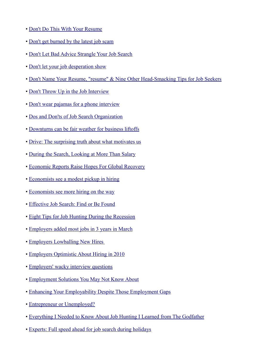- • [Don't Do This With Your Resume](http://gethiredstayhired.com/blog/?p=212)
- • [Don't get burned by the latest job scam](http://alft-teluu.blogspot.com/2010/08/dont-get-burned-by-latest-job-scam.html)
- • [Don't Let Bad Advice Strangle Your Job Search](http://www.glassdoor.com/blog/dont-bad-advice-strangle-job-search/)
- • [Don't let your job desperation show](http://www.cnn.com/2010/LIVING/worklife/01/27/cb.job.desperation.kicks.in/index.html?hpt=Sbin)
- • [Don't Name Your Resume, "resume" & Nine Other Head-Smacking Tips for Job Seekers](http://blog.sixfigures.com.au/2010/12/08/don%E2%80%99t-name-your-resume-%E2%80%9Cresume%E2%80%9D-nine-other-head-smacking-%20tips-for-job-seekers/)
- • [Don't Throw Up in the Job Interview](http://www.huffingtonpost.com/liz-ryan/dont-throw-up-in-the-job_b_470964.html)
- • [Don't wear pajamas for a phone interview](http://money.cnn.com/2010/02/03/news/economy/phone_job_interviews.fortune/index.htm)
- • [Dos and Don'ts of Job Search Organization](http://employmentdigest.net/2011/02/dos-and-don%C3%A2%C2%80%C2%99ts-of-job-search-organization)
- • [Downturns can be fair weather for business liftoffs](http://www.washingtonexaminer.com/economy/your-money/Downturns-can-be-fair-weather-for-business-liftoffs-1008386-100224134.html)
- • [Drive: The surprising truth about what motivates us](http://www.youtube.com/watch?v=u6XAPnuFjJc&sns=em)
- • [During the Search, Looking at More Than Salary](http://blogs.wsj.com/laidoff/2010/02/05/during-the-search-looking-at-more-than-salary/?mod=rss_WSJBlog)
- • [Economic Reports Raise Hopes For Global Recovery](http://www.huffingtonpost.com/2009/12/12/economic-reports-raise-ho_n_389778.html)
- • [Economists see a modest pickup in hiring](http://money.cnn.com/2010/07/19/news/economy/NABE/index.htm)
- • [Economists see more hiring on the way](http://money.cnn.com/2011/01/24/news/economy/nabe_survey/)
- • [Effective Job Search: Find or Be Found](http://www.impacthiringsolutions.com/freejobsearchresources/effective-job-search-find-or-be-found/)
- • [Eight Tips for Job Hunting During the Recession](http://insidetech.monster.com/benefits/articles/7042-eight-tips-for-job-hunting-during-the-recession)
- • [Employers added most jobs in 3 years in March](http://news.yahoo.com/s/ap/20100402/ap_on_bi_go_ec_fi/us_economy)
- • [Employers Lowballing New Hires](http://online.wsj.com/article/SB127570395821401453.html)
- • [Employers Optimistic About Hiring in 2010](http://publicityclub.wordpress.com/2009/12/23/employers-optimistic-about-hiring-in-2010/)
- • [Employers' wacky interview questions](http://money.cnn.com/2010/08/09/news/economy/wacky_interview_questions.fortune/)
- • [Employment Solutions You May Not Know About](http://www.employmentdigest.net/2010/08/employment-solutions-you-may-not-know-about/)
- Enhancing Your Employability Despite Those Employment Gaps
- • [Entrepreneur or Unemployed?](http://www.nytimes.com/2010/06/02/opinion/02reich.html?pagewanted=all)
- • [Everything I Needed to Know About Job Hunting I Learned from The Godfather](http://www.careerrocketeer.com/2010/02/everything-i-needed-to-know-about-job.html)
- • [Experts: Full speed ahead for job search during holidays](http://www.stltoday.com/stltoday/business/stories.nsf/story/4863CBA78B6DE95886257679008247EE)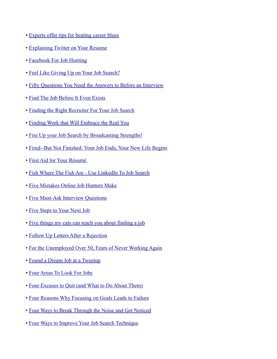- • [Experts offer tips for beating career blues](http://www.google.com/hostednews/ap/article/ALeqM5jwtXuPkdsTPGZgh5wE3iJsBGHyxgD9C5FH280)
- • [Explaining Twitter on Your Resume](http://www.cornonthejob.com/career-advice/resumes-and-cover-letters/questions-for-corn-explaining-twitter-on-your-resume/)
- • [Facebook For Job Hunting](http://www.hrmargo.com/2010/10/26/the-multi-platform-job-search/)
- • [Feel Like Giving Up on Your Job Search?](http://www.careerbuilder.com/Article/CB-1389-Job-Search-Feel-Like-Giving-Up-on-Your-Job-Search/?pf=true)
- • [Fifty Questions You Need the Answers to Before an Interview](http://www.employmentdigest.net/2010/11/fifty-questions-you-need-the-answers-to-before-an-interview/)
- • [Find The Job Before It Even Exists](http://www.karenburnsworkinggirl.com/?p=1803)
- • [Finding the Right Recruiter For Your Job Search](http://www.employmentdigest.net/2010/07/finding-the-right-recruiter-for-your-job-search)
- • [Finding Work that Will Embrace the Real You](http://www.careerrocketeer.com/2009/10/finding-work-that-will-embrace-real-you.html)
- • [Fire Up your Job Search by Broadcasting Strengths!](http://blog.doostang.com/2010/12/08/fire-up-your-job-search-by-broadcasting-strengths)
- • [Fired--But Not Finished: Your Job Ends, Your New Life Begins](http://www.careerknowhow.com/guidance/laidoff.htm)
- • [First Aid for Your Résumé](http://online.wsj.com/article/SB126550131743542087.html?mod=WSJ_PersonalFinance_PF4)
- • [Fish Where The Fish Are Use LinkedIn To Job Search](http://www.advancingwomen.com/wordpress/fish-where-the-fish-are-use-linkedin-to-job-search/)
- • [Five Mistakes Online Job Hunters Make](http://online.wsj.com/article/SB10001424052748704913304575371202791043546.html)
- • [Five Must-Ask Interview Questions](http://online.wsj.com/article_email/SB10001424052748704302304575213962794390050-lMyQjAxMTAwMDIwOTEyNDkyWj.html)
- • [Five Steps to Your Next Job](http://ezinearticles.com/?id=2920396)
- • [Five things my cats can teach you about finding a job](http://ulife.vpul.upenn.edu/careerservices/blog/?p=4633)
- • [Follow Up Letters After a Rejection](http://www.employmentdigest.net/2010/04/follow-up-letters-after-a-rejection/)
- • [For the Unemployed Over 50, Fears of Never Working Again](http://www.nytimes.com/2010/09/20/business/economy/20older.html?_r=2&hp)
- • [Found a Dream Job at a Tweetup](http://blog.resumebear.com/uncategorized/found-a-dream-job-at-a-tweetup/)
- • [Four Areas To Look For Jobs](http://www.glassdoor.com/blog/areas-jobs/)
- • [Four Excuses to Quit \(and What to Do About Them\)](http://lateralaction.com/articles/no-excuses/)
- • [Four Reasons Why Focusing on Goals Leads to Failure](http://melissacooley.com/2010/03/focus-on-goals-failure/)
- • [Four Ways to Break Through the Noise and Get Noticed](http://jobs.aol.com/articles/2010/10/04/break-through-the-noise-and-get-noticed)
- • [Four Ways to Improve Your Job Search Technique](https://www.swiftpage2.com/speasapage.aspx?X=2U0OIQCJHVM1ODTS00X6W5#2)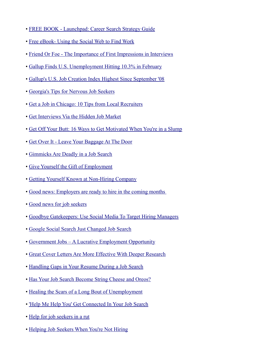- • [FREE BOOK Launchpad: Career Search Strategy Guide](http://www.careerrocketeer.com/2010/06/free-book-launchpad-career-search-guide.html)
- • [Free eBook- Using the Social Web to Find Work](http://www.chrisbrogan.com/free-ebook-using-the-social-web-to-find-work/)
- • [Friend Or Foe The Importance of First Impressions in Interviews](http://www.employmentdigest.net/2010/03/friend-or-foe-the-importance-of-first-impressions-in-interviews/)
- • [Gallup Finds U.S. Unemployment Hitting 10.3% in February](http://www.gallup.com/poll/146453/Gallup-Finds-Unemployment-Hitting-February.aspx)
- • [Gallup's U.S. Job Creation Index Highest Since September '08](http://www.gallup.com/poll/146414/Gallup-Job-Creation-Index-Highest-September.aspx)
- • [Georgia's Tips for Nervous Job Seekers](http://www.culpwrit.com/2011/03/17/georgias-tips-for-nervous-job-seekers/)
- • [Get a Job in Chicago: 10 Tips from Local Recruiters](http://www.chicagonow.com/blogs/brokeass-blog/2010/02/post.html)
- • [Get Interviews Via the Hidden Job Market](http://blog.mengonline.com/2011/02/09/get-interviews-via-the-hidden-job-market/)
- • [Get Off Your Butt: 16 Ways to Get Motivated When You're in a Slump](http://zenhabits.net/2007/08/get-off-your-butt-16-ways-to-get-motivated-when-youre-in-a-slump/)
- • [Get Over It Leave Your Baggage At The Door](http://www.approachthemarket.co.uk/index.php?option=com_wordpress&p=328&Itemid=63)
- • [Gimmicks Are Deadly in a Job Search](http://www.employmentdigest.net/2010/11/gimmicks-are-deadly-in-a-job-search-2/)
- • [Give Yourself the Gift of Employment](http://hotjobs.yahoo.com/career-articles-give_yourself_the_gift_of_employment-1067)
- • [Getting Yourself Known at Non-Hiring Company](http://www.careerdoctor.org/career-doctor-blog/2010/06/getting-yourself-known-at-nonh.html)
- Good news: Employers are ready to hire in the coming months
- • [Good news for job seekers](http://www.keppiecareers.com/2009/12/25/good-news-for-job-seekers/)
- • [Goodbye Gatekeepers: Use Social Media To Target Hiring Managers](http://jobmob.co.il/blog/social-media-target-hiring-managers/)
- • [Google Social Search Just Changed Job Search](http://www.onedayonejob.com/blog/google-social-search-just-changed-job-search/)
- • [Government Jobs A Lucrative Employment Opportunity](http://www.highere.com/government-jobs-%C3%A2%C2%80%C2%93-a-lucrative-employment-opportunity)
- • [Great Cover Letters Are More Effective With Deeper Research](http://www.employmentdigest.net/2010/03/great-cover-letters-are-more-effective-with-deeper-research/)
- • [Handling Gaps in Your Resume During a Job Search](http://www.employmentdigest.net/2009/12/handling-gaps-in-your-resume-during-a-job-search/)
- • [Has Your Job Search Become String Cheese and Oreos?](http://matrixresources.wordpress.com/2010/01/05/has-your-job-search-become-string-cheese-and-oreos/)
- • [Healing the Scars of a Long Bout of Unemployment](http://online.wsj.com/article/SB10001424052702304871704575159923259322044.html?mod=rss_careers#)
- • ['Help Me Help You' Get Connected In Your Job Search](http://www.glassdoor.com/blog/connected-job-search/)
- • [Help for job seekers in a rut](http://www.keppiecareers.com/2010/01/19/help-for-job-seekers-in-a-rut/)
- • [Helping Job Seekers When You're Not Hiring](http://www.360connext.com/helping-job-seekers-when-youre-not-hiring)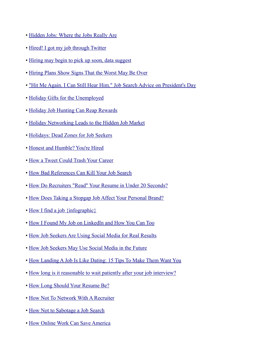- • [Hidden Jobs: Where the Jobs Really Are](http://www.trcb.com/employment/getting-the-job/where-the-jobs-really-are-18688.htm)
- • [Hired! I got my job through Twitter](http://money.cnn.com/2009/09/03/news/economy/hired_twitter/?postversion=2009090413)
- • [Hiring may begin to pick up soon, data suggest](http://www.msnbc.msn.com/id/41885150/ns/business-stocks_and_economy/)
- • [Hiring Plans Show Signs That the Worst May Be Over](http://www.openforum.com/idea-hub/topics/innovation/article/hiring-plans-show-signs-that-the-worst-may-be-over-american-express-open)
- • ["Hit Me Again. I Can Still Hear Him." Job Search Advice on President's Day](http://irishmanspeaks.typepad.com/irishmanspeaks/2010/02/hit-me-again-i-can-still-hear-him.html)
- • [Holiday Gifts for the Unemployed](http://www.outofworkchicago.com/2009/11/holiday-gifts-for-the-unemployed/)
- • [Holiday Job Hunting Can Reap Rewards](http://www.adicio.com/Holiday_Job_Hunting)
- • [Holiday Networking Leads to the Hidden Job Market](http://www.careerhubblog.com/main/2009/12/holiday-networking-leads-to-the-hidden-job-market.html)
- • [Holidays: Dead Zones for Job Seekers](http://www.careerrocketeer.com/2010/11/holidays-dead-zones-for-job-seekers.html)
- • [Honest and Humble? You're Hired](http://www.businessnewsdaily.com/honest-people-make-good-employees-1048/)
- • [How a Tweet Could Trash Your Career](http://hotjobs.yahoo.com/career-articles-how_a_tweet_could_trash_your_career-1119)
- • [How Bad References Can Kill Your Job Search](http://blog.brand-yourself.com/career/job-search-career/how-bad-references-can-kill-your-job-search/)
- • [How Do Recruiters "Read" Your Resume in Under 20 Seconds?](http://www.employmentdigest.net/2010/09/how-do-recruiters-%E2%80%9Cread%E2%80%9D-your-resume-in-under-20-seconds/)
- • [How Does Taking a Stopgap Job Affect Your Personal Brand?](http://smallbiztrends.com/2010/08/how-does-stopgap-job-affect-personal-brand.html)
- • [How I find a job {infographic}](http://blog.jonreily.com/2010/08/how-i-find-a-job/#)
- • [How I Found My Job on LinkedIn and How You Can Too](http://www.talentculture.com/career/how-i-found-my-job-on-linkedin-and-how-you-can-too/)
- • [How Job Seekers Are Using Social Media for Real Results](http://mashable.com/2010/03/08/job-seeker-results/)
- • [How Job Seekers May Use Social Media in the Future](http://mashable.com/2010/10/11/job-seekers-social-media-future/)
- • [How Landing A Job Is Like Dating: 15 Tips To Make Them Want You](http://www.businessinsider.com/make-them-want-you-landing-a-job-is-just-like-dating-2010-7)
- • [How long is it reasonable to wait patiently after your job interview?](http://blog.marketplace.nwsource.com/careercenter/how_long_is_it_reasonable_to_wait_patiently_after_your_job_intervi%20ew.html?cmpid=2694)
- • [How Long Should Your Resume Be?](http://jobs.yahoo.com/career-articles-how_long_should_your_resume_be-1171)
- • [How Not To Network With A Recruiter](http://www.researchgoddess.com/2010/02/how-not-to-network-with-a-recruiter/)
- • [How Not to Sabotage a Job Search](http://can0x.secondact.com/2010/09/how-not-to-sabotage-a-job-search.php)
- • [How Online Work Can Save America](http://techcrunch.com/2011/02/21/guest-post-how-online-work-can-save-america/)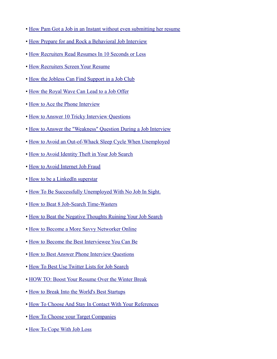- • [How Pam Got a Job in an Instant without even submitting her resume](http://www.trcb.com/employment/getting-the-job/how-pam-got-a-job-in-an-instant-without-even-resume-20565.htm)
- • [How Prepare for and Rock a Behavioral Job Interview](http://artofmanliness.com/2010/07/02/how-prepare-for-and-rock-a-behavioral-job-interview/)
- • [How Recruiters Read Resumes In 10 Seconds or Less](http://impacthiringsolutions.com/careerblog/2010/01/18/how-recruiters-read-resumes-in-10-seconds-or-less)
- • [How Recruiters Screen Your Resume](http://www.careerrocketeer.com/2010/09/how-recruiters-screen-your-resume.html)
- • [How the Jobless Can Find Support in a Job Club](http://money.usnews.com/money/blogs/outside-voices-careers/2010/08/11/what-to-look-for-in-a-job-club.html)
- • [How the Royal Wave Can Lead to a Job Offer](http://www.careerrocketeer.com/2010/01/how-royal-wave-can-lead-to-job-offer.html)
- • [How to Ace the Phone Interview](http://www.usnews.com/money/blogs/outside-voices-careers/2010/2/10/how-to-ace-the-phone-interview.html)
- • [How to Answer 10 Tricky Interview Questions](http://www.usnews.com/money/blogs/outside-voices-careers/2010/03/03/how-to-answer-10-tricky-interview-questions)
- • [How to Answer the "Weakness" Question During a Job Interview](http://careersuccess.typepad.com/my_weblog/2009/12/how-to-answer-the-weakness-question-during-a-job-interview.html)
- • [How to Avoid an Out-of-Whack Sleep Cycle When Unemployed](http://www.cornonthejob.com/career-advice/job-search/how-to-avoid-an-out-of-whack-sleep-cycle-when-unemployed/)
- • [How to Avoid Identity Theft in Your Job Search](http://www.careerrocketeer.com/2009/09/how-to-avoid-identity-theft-in-your-job.html)
- • [How to Avoid Internet Job Fraud](http://www.employmentdigest.net/2010/04/how-to-avoid-internet-job-fraud/)
- • [How to be a LinkedIn superstar](http://www.imediaconnection.com/content/21949.imc)
- • [How To Be Successfully Unemployed With No Job In Sight.](http://www.the405club.com/post/745600905/how-to-be-successfully-unemployed-with-no-job-in-sight)
- • [How to Beat 8 Job-Search Time-Wasters](http://finance.yahoo.com/news/How-to-Beat-8-JobSearch-usnews-3059065141.html?x=0)
- • [How to Beat the Negative Thoughts Ruining Your Job Search](http://money.usnews.com/money/blogs/outside-voices-careers/2010/8/31/how-to-beat-the-negative-thoughts-killing-your-job-search.html)
- • [How to Become a More Savvy Networker Online](http://mashable.com/2010/06/16/online-networking/)
- • [How to Become the Best Interviewee You Can Be](http://www.talentzoo.com/news.php/How-to-Become-the-Best-Interviewee-You-Can-Be--/?articleID=8238)
- • [How to Best Answer Phone Interview Questions](http://www.employmentdigest.net/2010/08/how-to-best-answer-phone-interview-questions/)
- • [How To Best Use Twitter Lists for Job Search](http://jobmob.co.il/blog/twitter-lists-job-search/)
- • [HOW TO: Boost Your Resume Over the Winter Break](http://mashable.com/2009/12/22/boost-resume-winter-break/)
- • [How to Break Into the World's Best Startups](http://blog.brazencareerist.com/2011/03/07/how-to-break-into-the-worlds-best-startups/)
- • [How To Choose And Stay In Contact With Your References](http://timsstrategy.com/how-to-choose-and-stay-in-contact-with-your-references/)
- • [How To Choose your Target Companies](http://timsstrategy.com/how-to-choose-your-target-companies/)
- • [How To Cope With Job Loss](http://www.onlyusjobs.com/how-to-cope-with-job-loss/)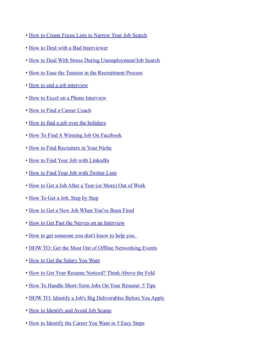- • [How to Create Focus Lists to Narrow Your Job Search](http://matrixresourcesblog.com/2010/07/20/how-to-create-focus-lists-to-narrow-your-job-search/)
- • [How to Deal with a Bad Interviewer](http://www.careerrocketeer.com/2010/03/how-to-deal-with-bad-interviewer.html)
- • [How to Deal With Stress During Unemployment/Job Search](http://internsover40.blogspot.com/2009/11/how-to-deal-with-stress-during_18.html)
- • [How to Ease the Tension in the Recruitment Process](http://www.careerealism.com/ease-tension-recruitment-process/)
- • [How to end a job interview](http://hotjobs.yahoo.com/career-articles-how_to_end_a_job_interview-1398)
- • [How to Excel on a Phone Interview](http://blog.expresspersonnel.com/movinonup/2010/07/how-to-excel-on-a-phone-interview.html)
- • [How to Find a Career Coach](http://guides.wsj.com/careers/how-to-start-a-job-search/how-to-find-a-career-coach/)
- • [How to find a job over the holidays](http://smartblogs.com/workforce/2010/11/02/how-to-find-a-job-over-the-holidays/)
- • [How To Find A Winning Job On Facebook](http://blog.matrixresources.com/blog/how-find-winning-job-facebook)
- • [How to Find Recruiters in Your Niche](http://guides.wsj.com/careers/how-to-work-with-executive-recruiters/how-to-find-recruiters-in-your-niche/)
- • [How to Find Your Job with LinkedIn](http://www.careerrocketeer.com/2009/05/how-to-find-your-job-with-linkedin.html)
- • [How to Find Your Job with Twitter Lists](http://www.careerrocketeer.com/2009/12/how-to-find-your-job-with-twitter-lists.html)
- • [How to Get a Job After a Year \(or More\) Out of Work](http://www.usnews.com/money/careers/articles/2010/06/10/how-to-get-a-job-after-a-year-or-more-out-of-work.html)
- • [How To Get a Job, Step by Step](http://blogs.jobdig.com/wwds/2010/11/10/how-to-get-a-job-step-by-step/)
- • [How to Get a New Job When You've Been Fired](http://money.usnews.com/money/blogs/outside-voices-careers/2010/6/24/how-to-get-a-job-after-youve-been-fired.html)
- • [How to Get Past the Nerves on an Interview](http://www.youtube.com/watch?v=xRNsBnj-LkA)
- How to get someone you don't know to help you.
- • [HOW TO: Get the Most Out of Offline Networking Events](http://mashable.com/2010/05/12/how-to-networking-events/)
- • [How to Get the Salary You Want](http://online.wsj.com/article/SB10001424052748704895204575320881220191998.html)
- • [How to Get Your Resume Noticed? Think Above the Fold](http://www.pongoresume.com/blogPosts/591/how-to-get-your-resume-noticed-think-above-the-fold.cfm)
- • [How To Handle Short-Term Jobs On Your Résumé: 5 Tips](http://msn.careerbuilder.com/Article/MSN-748-Cover-Letters-Resumes-How-To-Handle-Short-Term-Jobs-On-Your-R%C3%83%C2%A9sum%C3%83%C2%A9-5-Tips)
- • [HOW TO: Identify a Job's Big Deliverables Before You Apply](http://www.avidcareerist.com/2010/09/28/how-to-identify-a-jobs-big-deliverables-before-you-apply/)
- • [How to Identify and Avoid Job Scams](http://melissacooley.com/2009/12/identify-avoid-job-scams/)
- • [How to Identify the Career You Want in 5 Easy Steps](http://www.employmentdigest.net/2010/04/how-to-identify-the-career-you-want-in-5-easy-steps/)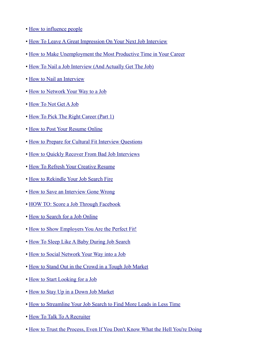- • [How to influence people](http://www.keppiecareers.com/2010/10/20/how-to-influence-people/)
- • [How To Leave A Great Impression On Your Next Job Interview](http://www.jobacle.com/blog/2010/5/12/how-to-leave-a-great-impression-on-your-next-job-interview.html)
- • [How to Make Unemployment the Most Productive Time in Your Career](http://thesocialexec.com/how-to-make-unemployment-the-most-productive-time-in-your-career)
- • [How To Nail a Job Interview \(And Actually Get The Job\)](http://www.brasstackthinking.com/2010/09/how-to-nail-a-job-interview-and-actually-get-the-job/)
- • [How to Nail an Interview](http://becky-johns.com/2011/01/how-to-nail-an-interview/)
- • [How to Network Your Way to a Job](http://guides.wsj.com/careers/how-to-identify-job-opportunities/how-to-network-your-way-to-a-job/)
- • [How To Not Get A Job](http://wunderlandgroup.com/how-to-not-get-a-job/)
- • [How To Pick The Right Career \(Part 1\)](http://blog.resumebear.com/2010/09/15/how-to-pick-the-right-career-part-1/)
- • [How to Post Your Resume Online](http://www.wikihow.com/Post-Your-Resume-Online)
- • [How to Prepare for Cultural Fit Interview Questions](http://blog.seattleinterviewcoach.com/2009/09/how-to-prepare-for-cultural-fit.html)
- • [How to Quickly Recover From Bad Job Interviews](http://jobmob.co.il/blog/bad-job-interview-recovery/)
- • [How To Refresh Your Creative Resume](http://artbistro.monster.com/careers/articles/11835-how-to-refresh-your-creative-resume)
- • [How to Rekindle Your Job Search Fire](http://www.theundercoverrecruiter.com/content/how-rekindle-your-job-search-fire)
- • [How to Save an Interview Gone Wrong](http://insidetech.monster.com/careers/articles/8381-how-to-save-an-interview-gone-wrong)
- • [HOW TO: Score a Job Through Facebook](http://mashable.com/2010/10/30/facebook-jobs/)
- • [How to Search for a Job Online](http://guides.wsj.com/careers/how-to-identify-job-opportunities/how-to-search-for-a-job-online/)
- • [How to Show Employers You Are the Perfect Fit!](http://blog.doostang.com/2011/01/26/how-to-show-employers-you-are-the-perfect-fit/)
- • [How To Sleep Like A Baby During Job Search](http://timsstrategy.com/how-to-sleep-like-a-baby-during-job-search/)
- • [How to Social Network Your Way into a Job](http://hotjobs.yahoo.com/career-articles-how_to_social_network_your_way_into_a_job-1133)
- • [How to Stand Out in the Crowd in a Tough Job Market](http://www.careerrocketeer.com/2009/10/how-to-stand-out-in-crowd-in-tough-job.html)
- • [How to Start Looking for a Job](http://money.usnews.com/money/blogs/outside-voices-careers/2011/02/24/how-to-start-looking-for-a-job)
- • [How to Stay Up in a Down Job Market](http://www.employmentdigest.net/2010/11/how-to-stay-up-in-a-down-job-market/)
- • [How to Streamline Your Job Search to Find More Leads in Less Time](http://www.chicagocarless.com/2010/02/11/how-to-streamline-your-job-search-to-find-more-leads-in-less-time/)
- • [How To Talk To A Recruiter](http://www.glassdoor.com/blog/talk-recruiter/)
- • [How to Trust the Process, Even If You Don't Know What the Hell You're Doing](http://www.hellomynameisblog.com/2010/09/how-to-trust-process-even-if-you-dont.html)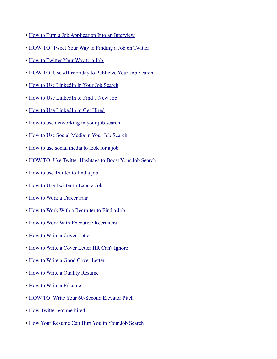- • [How to Turn a Job Application Into an Interview](http://www.usnews.com/money/blogs/outside-voices-careers/2010/1/12/why-theres-no-reply-to-your-job-application.html)
- • [HOW TO: Tweet Your Way to Finding a Job on Twitter](http://windmillnetworking.com/2010/01/12/how-to-tweet-your-way-to-finding-a-job-on-twitter/)
- • [How to Twitter Your Way to a Job](http://www.nbcbayarea.com/news/local-beat/How-To-Twitter-Your-Way-To-A-Job--63313522.html)
- • [HOW TO: Use #HireFriday to Publicize Your Job Search](http://www.avidcareerist.com/2010/05/21/how-to-use-hirefriday-to-publicize-your-job-search/)
- • [How to Use LinkedIn in Your Job Search](http://www.booleanblackbelt.com/2009/07/how-to-use-linkedin-in-your-job-search/)
- • [How to Use LinkedIn to Find a New Job](http://workawesome.com/career/find-a-new-job/)
- • [How to Use LinkedIn to Get Hired](http://www.fins.com/Finance/Articles/SB128223580635529231/How-to-Use-LinkedIn-to-Get-Hired)
- • [How to use networking in your job search](http://www.employmentdigest.net/2010/08/how-to-use-networking-in-your-job-search/)
- • [How to Use Social Media in Your Job Search](http://jobsearch.about.com/od/networking/a/socialmedia.htm)
- • [How to use social media to look for a job](http://alexisgrant.wordpress.com/2010/04/21/how-to-use-social-media-to-look-for-a-job/)
- • [HOW TO: Use Twitter Hashtags to Boost Your Job Search](http://mashable.com/2010/10/16/twitter-hashtags-job-search/)
- • [How to use Twitter to find a job](http://www.keppiecareers.com/2010/08/16/how-to-use-twitter-to-find-a-job)
- • [How to Use Twitter to Land a Job](http://money.usnews.com/money/blogs/outside-voices-careers/2010/11/04/how-to-use-twitter-to-land-a-job)
- • [How to Work a Career Fair](http://guides.wsj.com/careers/how-to-identify-job-opportunities/how-to-work-a-career-fair/)
- • [How to Work With a Recruiter to Find a Job](http://money.usnews.com/money/blogs/outside-voices-careers/2010/11/11/how-working-with-a-recruiter-can-helpor-hurtyour-job-search.html)
- • [How to Work With Executive Recruiters](http://guides.wsj.com/careers/how-to-work-with-executive-recruiters/how-to-work-with-executive-recruiters/)
- • [How to Write a Cover Letter](http://guides.wsj.com/careers/how-to-start-a-job-search/how-to-write-a-cover-letter/)
- • [How to Write a Cover Letter HR Can't Ignore](http://www.microtrain.net/blogs/view/how-to-write-a-cover-letter-hr-cant-ignore.html)
- • [How to Write a Good Cover Letter](http://blog.helpmyresume.info/2010/08/28/how-to-write-a-good-cover-letter-%E2%80%93-dr-sandra-folk/)
- • [How to Write a Quality Resume](http://www.employmentdigest.net/2010/07/how-to-write-a-quality-resume)
- • [How to Write a Résumé](http://guides.wsj.com/careers/how-to-start-a-job-search/how-to-write-a-resume/)
- • [HOW TO: Write Your 60-Second Elevator Pitch](http://www.personalbrandingblog.com/how-to-write-your-60-second-elevator-pitch/)
- • [How Twitter got me hired](http://blog.resumebear.com/changing-careers/how-twitter-got-me-hired/)
- • [How Your Resume Can Hurt You in Your Job Search](http://www.trcb.com/employment/resumes/how-your-resume-can-hurt-you-in-your-job-search-18690.htm)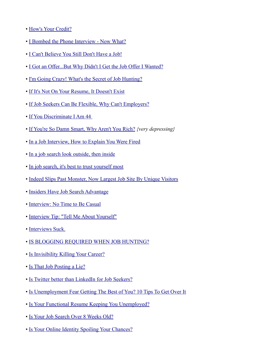- • [How's Your Credit?](http://www.connectworkchicago.com/2010/08/hows-your-credit/)
- • [I Bombed the Phone Interview Now What?](http://doostang.wordpress.com/2010/03/24/i-bombed-the-phone-interview-%E2%80%93-now-what/)
- • [I Can't Believe You Still Don't Have a Job!](http://www.careerrocketeer.com/2010/10/i-cant-believe-you-still-dont-have-job.html)
- • [I Got an Offer...But Why Didn't I Get the Job Offer I Wanted?](http://www.workcoachcafe.com/2010/06/07/why-didnt-i-get-the-job-offer-i-wanted/)
- • [I'm Going Crazy! What's the Secret of Job Hunting?](http://blogs.bnet.com/career-advice/?p=1024)
- • [If It's Not On Your Resume, It Doesn't Exist](http://recareered.blogspot.com/2010/03/if-its-not-on-your-resume-it-doesnt.html)
- • [If Job Seekers Can Be Flexible, Why Can't Employers?](http://www.pongoresume.com/blogPosts/558/if-job-seekers-can-be-flexible-why-can-t-employers-.cfm)
- • [If You Discriminate I Am 44](http://timsstrategy.com/if-you-discriminate-i-am-44/)
- • [If You're So Damn Smart, Why Aren't You Rich?](http://activevoice.charlesbivona.com/?p=165) *{very depressing}*
- • [In a Job Interview, How to Explain You Were Fired](http://money.usnews.com/money/blogs/outside-voices-careers/2010/10/4/in-a-job-interview-how-to-explain-you-were-fired.html)
- • [In a job search look outside, then inside](http://www.startribune.com/business/100649194.html?elr=KArks:DCiU1OiP:DiiUiD3aPc:_Yyc:aUU)
- • [In job search, it's best to trust yourself most](http://www.ajc.com/jobs/in-job-search-its-350423.html?cxtype=rss_news_128746)
- • [Indeed Slips Past Monster, Now Largest Job Site By Unique Visitors](http://techcrunch.com/2010/11/17/indeed-monster-largest-job-site/)
- • [Insiders Have Job Search Advantage](http://www.culpwrit.com/2010/02/28/insiders-have-job-search-advantage/)
- • [Interview: No Time to Be Casual](http://www.culpwrit.com/2010/06/28/interview-no-time-to-be-casual/)
- • [Interview Tip: "Tell Me About Yourself"](http://blog.seattleinterviewcoach.com/2009/03/interview-tip-tell-me-about-yourself.html)
- • [Interviews Suck.](http://www.veronicaludwig.com/interviews-suck/)
- • [IS BLOGGING REQUIRED WHEN JOB HUNTING?](http://melissacooley.com/2010/06/blog-required-job-hunt/)
- • [Is Invisibility Killing Your Career?](http://timsstrategy.com/is-invisibility-killing-your-career/)
- • [Is That Job Posting a Lie?](http://blogs.bnet.com/career-advice/?p=1171)
- • [Is Twitter better than LinkedIn for Job Seekers?](http://irishmanspeaks.typepad.com/irishmanspeaks/2010/04/is-twitter-better-than-linkedin-for-job-seekers.html)
- • [Is Unemployment Fear Getting The Best of You? 10 Tips To Get Over It](http://www.glassdoor.com/blog/unemployment-fear-10-tips/)
- • [Is Your Functional Resume Keeping You Unemployed?](http://www.pongoresume.com/blogPosts/531/is-your-functional-resume-keeping-you-unemployed-.cfm)
- • [Is Your Job Search Over 8 Weeks Old?](http://www.careerrocketeer.com/2010/08/is-your-job-search-over-8-weeks-old.html)
- • [Is Your Online Identity Spoiling Your Chances?](http://www.nytimes.com/2010/10/10/jobs/10search.html?_r=1)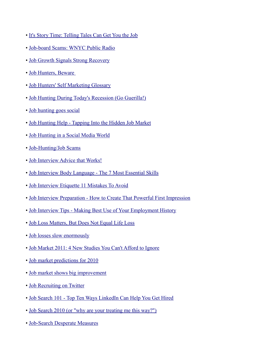- • [It's Story Time: Telling Tales Can Get You the Job](http://www.talentzoo.com/news.php/Its-Story-Time-Telling-Tales-Can-Get-You-the-Job/?articleID=9712)
- • [Job-board Scams: WNYC Public Radio](http://corcodilos.com/blog/1723/job-board-scams-wnyc-public-radio)
- • [Job Growth Signals Strong Recovery](http://www.forbes.com/2010/04/05/job-growth-recovery-economy-business-oxford.html?boxes=Homepagelighttop)
- • [Job Hunters, Beware](http://online.wsj.com/article/SB10001424052748704107204575039361105870740.html?mod=googlenews_wsj)
- • [Job Hunters' Self Marketing Glossary](http://www.employmentdigest.net/2010/02/job-hunters-self-marketing-glossary/)
- • [Job Hunting During Today's Recession \(Go Guerilla!\)](http://www.hrmargo.com/2010/07/23/job-hunting-during-todays-recession/)
- • [Job hunting goes social](http://www.siliconrepublic.com/new-media/item/20942-job-hunting-goes-social)
- • [Job Hunting Help Tapping Into the Hidden Job Market](http://www.employmentdigest.net/2010/09/job-hunting-help-tapping-into-the-hidden-job-market/)
- • [Job Hunting in a Social Media World](http://www.careerrocketeer.com/2009/09/job-hunting-in-social-media-world.html)
- • [Job-Hunting/Job Scams](http://ftc.gov/jobscams)
- • [Job Interview Advice that Works!](http://www.top-sales-jobs.com/job-interview-advice.html)
- • [Job Interview Body Language The 7 Most Essential Skills](http://www.employmentdigest.net/2009/12/job-interview-body-language-the-7-most-essential-skills/)
- • [Job Interview Etiquette 11 Mistakes To Avoid](http://www.walletpop.com/blog/2010/05/14/job-interview-etiquette-11-mistakes-to-avoid/)
- • [Job Interview Preparation How to Create That Powerful First Impression](http://www.employmentdigest.net/2009/12/job-interview-preparation-how-to-create-that-powerful-first-impression/)
- • [Job Interview Tips Making Best Use of Your Employment History](http://www.employmentdigest.net/2010/01/job-interview-tips-making-best-use-of-your-employment-history-2/)
- • [Job Loss Matters, But Does Not Equal Life Loss](http://melissacooley.com/2011/01/job-loss-matters-not-life-loss/)
- • [Job losses slow enormously](http://voices.washingtonpost.com/ezra-klein/2009/12/job_losses_slow_enormously.html)
- • [Job Market 2011: 4 New Studies You Can't Afford to Ignore](http://moneywatch.bnet.com/career-advice/blog/on-job/job-market-2011-4-new-studies-you-cant-afford-to-ignore/245/)
- • [Job market predictions for 2010](http://www.keppiecareers.com/2009/12/28/job-market-predictions-for-2010/)
- • [Job market shows big improvement](http://money.cnn.com/2009/12/04/news/economy/jobs_november/)
- • [Job Recruiting on Twitter](http://www.beingunemployedsucks.com/2010/02/09/job-recruiting-on-twitter/)
- • [Job Search 101 Top Ten Ways LinkedIn Can Help You Get Hired](http://www.employmentdigest.net/2010/02/job-search-101-top-ten-ways-linkedin-can-help-you-get-hired/)
- • [Job Search 2010 \(or "why are your treating me this way?"\)](http://allianceqblog.qaaqblogs.com/2010/08/19/job-search-2010-or-%E2%80%9Cwhy-are-your-treating-me-this-way%E2%80%9D/)
- • [Job-Search Desperate Measures](http://hotjobs.yahoo.com/career-articles-job_search_desperate_measures-1288)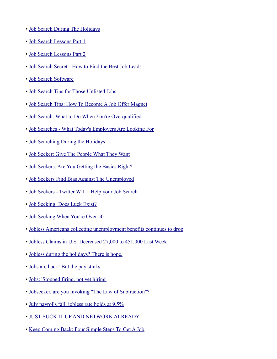- • [Job Search During The Holidays](http://www.connectworkchicago.com/2010/11/job-search-during-the-holidays/)
- • [Job Search Lessons Part 1](http://www.lifeschocolates.com/job-searching/job-search-lessons-part-1/)
- • [Job Search Lessons Part 2](http://www.lifeschocolates.com/job-searching/job-search-lessons-part-2/)
- • [Job Search Secret How to Find the Best Job Leads](http://www.careerchoiceguide.com/job-search-secret.html)
- • [Job Search Software](http://www.career-resumes.com/job-search-software/)
- • [Job Search Tips for Those Unlisted Jobs](http://www.careerrocketeer.com/2009/10/job-search-tips-for-those-unlisted-jobs.html)
- • [Job Search Tips: How To Become A Job Offer Magnet](http://www.ofertespeciale.info/job-search-tips-how-to-become-a-job-offer-magnet/)
- • [Job Search: What to Do When You're Overqualified](http://news.idg.no/cw/art.cfm?id=1E157DA0-1A64-6A71-CEE89A9D1F24A912)
- • [Job Searches What Today's Employers Are Looking For](http://www.employmentdigest.net/2010/11/job-searches-what-today%E2%80%99s-employers-are-looking-for/)
- • [Job Searching During the Holidays](http://job-search-success-secrets.com/blog/job-searching-holidays)
- • [Job Seeker: Give The People What They Want](http://timsstrategy.com/job-seeker-give-the-people-what-they-want/)
- • [Job Seekers: Are You Getting the Basics Right?](http://alexandralevit.typepad.com/wcw/2010/06/job-seekers-are-you-getting-the-basics-right.html)
- • [Job Seekers Find Bias Against The Unemployed](http://www.npr.org/2010/11/16/131367533/some-will-only-hire-if-you-already-have-a-job)
- • [Job Seekers Twitter WILL Help your Job Search](http://irishmanspeaks.typepad.com/irishmanspeaks/2010/01/job-seekers-twitter-will-help-your-job-search.html)
- • [Job Seeking: Does Luck Exist?](http://www.careerealism.com/job-seeking-luck/)
- • [Job Seeking When You're Over 50](http://blogs.hbr.org/cs/2010/11/job-seeking_when_youre_over_50.html)
- • [Jobless Americans collecting unemployment benefits continues to drop](http://www.job.com/career-advice/employment-news/jobless-americans-collecting-unemployment-benefits-continues-to-drop-$438031523-650.html)
- • [Jobless Claims in U.S. Decreased 27,000 to 451,000 Last Week](http://www.bloomberg.com/news/2010-09-09/jobless-claims-in-u-s-decreased-by-more-than-estimated-27-000-to-451-000.html)
- • [Jobless during the holidays? There is hope.](http://www.examiner.com/x-20518-Wilmington-Career-Transition-Examiner~y2009m12d7-Jobless-during-the-holidays--There-is-hope)
- • [Jobs are back! But the pay stinks](http://money.cnn.com/2011/01/31/news/economy/low_wage_job_growth/index.htm)
- • [Jobs: 'Stopped firing, not yet hiring'](http://money.cnn.com/2010/09/01/news/economy/job_cuts_challenger/index.htm)
- • [Jobseeker, are you invoking "The Law of Subtraction"?](http://designresumes.com/2010/11/law-of-subtraction/)
- • [July payrolls fall, jobless rate holds at 9.5%](http://chicagobreakingbusiness.com/2010/08/july-payrolls-fall-jobless-rate-holds-at-9-5.html)
- • [JUST SUCK IT UP AND NETWORK ALREADY](http://www.kristidaeda.com/2009/12/03/just-suck-it-up-and-network-already-5-bogus-excuses-to-let-go-of/)
- • [Keep Coming Back: Four Simple Steps To Get A Job](http://www.glassdoor.com/blog/coming-simple-steps-job/)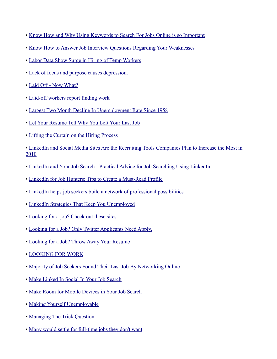- • [Know How and Why Using Keywords to Search For Jobs Online is so Important](http://www.employmentdigest.net/2010/04/know-how-and-why-using-keywords-to-search-for-jobs-online-is-so-important/)
- • [Know How to Answer Job Interview Questions Regarding Your Weaknesses](http://www.employmentdigest.net/2010/03/know-how-to-answer-job-interview-questions-regarding-your-weaknesses/)
- • [Labor Data Show Surge in Hiring of Temp Workers](http://www.nytimes.com/2009/12/21/business/economy/21temps.html?_r=3&sudsredirect=true)
- • [Lack of focus and purpose causes depression.](http://www.couchsurfingori.com/2009/11/25/lack-of-focus-and-purpose-causes-depression/)
- • [Laid Off Now What?](http://www.therecruiterslounge.com/2010/10/23/laid-off-now-what/)
- • [Laid-off workers report finding work](http://www.theworkbuzz.com/job-search/layoff-update/)
- • [Largest Two Month Decline In Unemployment Rate Since 1958](http://bespokeinvest.squarespace.com/thinkbig/2011/2/4/largest-two-month-decline-in-unemployment-rate-since-1958.html)
- • [Let Your Resume Tell Why You Left Your Last Job](http://www.employmentdigest.net/2010/04/let-your-resume-tell-why-you-left-your-last-job/)
- • [Lifting the Curtain on the Hiring Process](http://online.wsj.com/article/SB10001424052748703808904575025250789355156.html)
- • [LinkedIn and Social Media Sites Are the Recruiting Tools Companies Plan to Increase the Most in](http://www.marketwire.com/press-release/-1101524.htm) [2010](http://www.marketwire.com/press-release/-1101524.htm)
- • [LinkedIn and Your Job Search Practical Advice for Job Searching Using LinkedIn](http://www.resumark.com/job-resources/job-networking/linkedin-and-your-job-search-----practical-advice-for-job-searching-using-linkedin.html)
- • [LinkedIn for Job Hunters: Tips to Create a Must-Read Profile](http://blog.mengonline.com/2010/11/10/linkedin-for-job-hunters-tips-to-create-a-must-read-profile/)
- • [LinkedIn helps job seekers build a network of professional possibilities](http://blog.marketplace.nwsource.com/careercenter/linkedin_helps_job_seekers_build_a_network_of_professional_possibilities.html)
- • [LinkedIn Strategies That Keep You Unemployed](http://blog.brand-yourself.com/social-media/linkedin-strategies-that-keep-you-unemployed/)
- • [Looking for a job? Check out these sites](http://www.latimes.com/business/la-fi-jobs-web6-2010apr06,0,2734039.story)
- • [Looking for a Job? Only Twitter Applicants Need Apply.](http://windmillnetworking.com/2010/02/25/looking-for-a-job-only-twitter-applicants-need-apply/)
- • [Looking for a Job? Throw Away Your Resume](http://www.huffingtonpost.com/fauzia-burke/looking-for-a-job-throw-a_b_716491.html)
- • [LOOKING FOR WORK](http://www.chrisbrogan.com/looking-for-work/)
- • [Majority of Job Seekers Found Their Last Job By Networking Online](http://jobs.aol.com/articles/2010/10/18/job-seekers-found-job-by-networking-onlin/)
- • [Make Linked In Social In Your Job Search](http://socialjobsearch.wordpress.com/2010/09/02/make-linked-in-social-in-your-job-search/)
- • [Make Room for Mobile Devices in Your Job Search](http://www.greatresumesfast.com/blog/2010/08/31/make-room-for-mobile-devices-in-your-job-search-3/)
- • [Making Yourself Unemployable](http://inoveryourhead.net/making-yourself-unemployable/)
- • [Managing The Trick Question](http://www.karenburnsworkinggirl.com/?p=1682)
- • [Many would settle for full-time jobs they don't want](http://www.post-gazette.com/pg/11051/1126468-407.stm)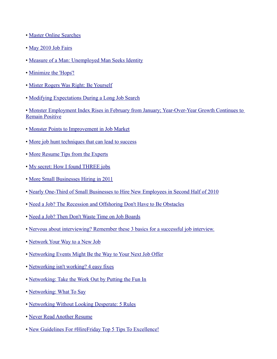- • [Master Online Searches](http://online.wsj.com/article/SB126852207486461893.html)
- • [May 2010 Job Fairs](http://www.betterresumes.com/chicagojobfairs.html)
- • [Measure of a Man: Unemployed Man Seeks Identity](http://carrieanddanielle.com/measure-of-a-man-unemployed-man-seeks-identity/)
- • [Minimize the 'Hops'!](http://www.thewisejobsearch.com/2009/11/minimize-hops.html)
- • [Mister Rogers Was Right: Be Yourself](http://blogs.wsj.com/hire-education/2010/09/30/mister-rogers-was-right-be-yourself/)
- • [Modifying Expectations During a Long Job Search](http://blogs.wsj.com/laidoff/2009/11/17/modifying-expectations-during-a-long-job-search/?mod=rss_WSJBlog)
- • [Monster Employment Index Rises in February from January; Year-Over-Year Growth Continues to](http://about-monster.com/content/monster-employment-index-rises-february-january-year-over-year-growth-continues-remain-posit) [Remain Positive](http://about-monster.com/content/monster-employment-index-rises-february-january-year-over-year-growth-continues-remain-posit)
- • [Monster Points to Improvement in Job Market](http://online.wsj.com/article/SB10001424052748703969204575220513293255770.html)
- • [More job hunt techniques that can lead to success](http://newgradlife.blogspot.com/2010/06/top-10-job-hunting-tricks.html)
- • [More Resume Tips from the Experts](http://www.careerrocketeer.com/2009/08/more-resume-tips-from-experts.html)
- • [My secret: How I found THREE jobs](http://3gen.experience.com/2009/12/my-secret-how-i-found-three-jobs.html)
- • [More Small Businesses Hiring in 2011](http://news.morningstar.com/all/printNews.aspx?article=/Pr/20110203CG41956_univ.xml)
- • [Nearly One-Third of Small Businesses to Hire New Employees in Second Half of 2010](http://www.careerbuilder.com/share/aboutus/pressreleasesdetail.aspx?id=pr580&sd=7/21/2010&ed=7/21/2099&siteid=cbpr&sc_cmp1=cb_pr580_)
- • [Need a Job? The Recession and Offshoring Don't Have to Be Obstacles](http://www.bizcoachinfo.com/archives/1235?sms_ss=digg)
- • [Need a Job? Then Don't Waste Time on Job Boards](http://www.employmentdigest.net/2010/02/need-a-job-then-dont-waste-time-on-job-boards/)
- • [Nervous about interviewing? Remember these 3 basics for a successful job interview.](http://gethiredstayhired.com/blog/?p=123)
- • [Network Your Way to a New Job](http://jobsearch.about.com/od/networking/a/network2.htm)
- • [Networking Events Might Be the Way to Your Next Job Offer](http://job-search-success-secrets.com/blog/networking-events-might-be-the-way-to-your-next-job-offer)
- • [Networking isn't working? 4 easy fixes](http://www.cnn.com/2010/LIVING/worklife/01/04/cb.fix.networking.methods/index.html)
- • [Networking: Take the Work Out by Putting the Fun In](http://blog.emurse.com/2010/02/03/networking-take-the-work-out-by-putting-the-fun-in/)
- • [Networking: What To Say](http://www.karenburnsworkinggirl.com/?p=1601)
- • [Networking Without Looking Desperate: 5 Rules](http://moneywatch.bnet.com/career-advice/article/business-networking-without-looking-desperate-5-rules/417354/)
- • [Never Read Another Resume](http://www.inc.com/magazine/20100601/never-read-another-resume.html)
- • [New Guidelines For #HireFriday Top 5 Tips To Excellence!](http://www.hrmargo.com/2010/08/04/new-guidelines-for-hirefriday-top-5-tips-to-excellence/)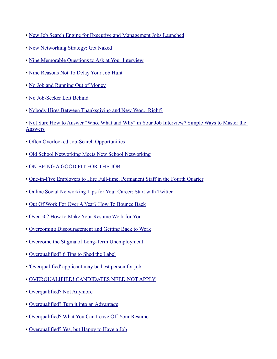- • [New Job Search Engine for Executive and Management Jobs Launched](http://www.prweb.com/releases/2010/08/prweb4389294.htm)
- • [New Networking Strategy: Get Naked](http://timsstrategy.com/new-networking-strategy-get-naked/)
- • [Nine Memorable Questions to Ask at Your Interview](http://career-advice.monster.com/job-interview/interview-questions/nine-questions-to-ask-interview/article.aspx)
- • [Nine Reasons Not To Delay Your Job Hunt](http://www.glassdoor.com/blog/reasons-delay-job-hunt/)
- • [No Job and Running Out of Money](http://www.careerrocketeer.com/2009/09/no-job-and-running-out-of-money.html)
- • [No Job-Seeker Left Behind](http://adage.com/gennext/post?article_id=142220)
- • [Nobody Hires Between Thanksgiving and New Year... Right?](http://www.careerrocketeer.com/2010/11/nobody-hires-between-thanksgiving-and-new-year%C3%A2%C2%80%C2%A6-right.html)
- • [Not Sure How to Answer "Who, What and Why" in Your Job Interview? Simple Ways to Master the](http://www.employmentdigest.net/2010/03/not-sure-how-to-answer-who-what-and-why-in-your-job-interview-simple-ways-to%20-master-the-answers-2/) **[Answers](http://www.employmentdigest.net/2010/03/not-sure-how-to-answer-who-what-and-why-in-your-job-interview-simple-ways-to%20-master-the-answers-2/)**
- • [Often Overlooked Job-Search Opportunities](http://money.usnews.com/money/blogs/outside-voices-careers/2011/03/22/often-overlooked-job-search-opportunities)
- • [Old School Networking Meets New School Networking](http://www.careerrocketeer.com/2011/03/old-school-networking-meets-new-school-networking.html)
- • [ON BEING A GOOD FIT FOR THE JOB](http://timsstrategy.com/on-being-a-good-fit-for-the-job/)
- • [One-in-Five Employers to Hire Full-time, Permanent Staff in the Fourth Quarter](http://chicagopressrelease.com/press-releases/one-in-five-employers-to-hire-full-time-permanent-staff-in-the-fourth-quarter-careerbuilder-and-usa-today-survey-finds)
- • [Online Social Networking Tips for Your Career: Start with Twitter](http://blogs.payscale.com/salary_report_kris_cowan/2010/08/online-social-networking.html)
- • [Out Of Work For Over A Year? How To Bounce Back](http://www.stumbleupon.com/su/3wvF4a/boomersnextstep.com/careers/out-of-work-for-over-a-year-how-to-bounce-back/r:t)
- • [Over 50? How to Make Your Resume Work for You](http://www.pongoresume.com/articles/453/over-50-how-to-make-your-resume-work-for-you.cfm)
- • [Overcoming Discouragement and Getting Back to Work](http://www.thegladiator.info/articles/rolie-backtowork.phtml)
- • [Overcome the Stigma of Long-Term Unemployment](http://career-advice.monster.com/job-search/getting-started/long-term-unemployment-stigma/article.aspx?WT.mc_n=CRMUS000666)
- • [Overqualified? 6 Tips to Shed the Label](http://hotjobs.yahoo.com/career-articles-overqualified_6_tips_to_shed_the_label-1083)
- • ['Overqualified' applicant may be best person for job](http://www.mercurynews.com/breaking-news/ci_17295979)
- • [OVERQUALIFIED! CANDIDATES NEED NOT APPLY](http://blogging4jobs.com/job-search/overqualified-candidates-need-not-apply)
- • [Overqualified? Not Anymore](http://laborbuzz.labor.ny.gov/?p=6025)
- • [Overqualified? Turn it into an Advantage](http://www.pongoresume.com/blogPosts/507/overqualified-turn-it-into-an-advantage.cfm)
- • [Overqualified? What You Can Leave Off Your Resume](http://www.itbusinessedge.com/cm/blogs/hall/overqualified-what-you-can-leave-off-your-resume)
- • [Overqualified? Yes, but Happy to Have a Job](http://www.nytimes.com/2010/03/29/us/29overqualified.html?hp)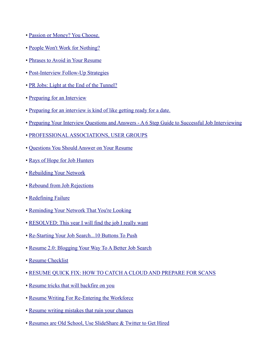- • [Passion or Money? You Choose.](http://jasonseiden.com/passion-or-money-you-choose/)
- • [People Won't Work for Nothing?](http://www.thefuryofme.com/the_fury_of_me/2010/08/people-wont-work-for-nothing.html)
- • [Phrases to Avoid in Your Resume](http://www.employmentdigest.net/2010/03/phrases-to-avoid-in-your-resume/)
- • [Post-Interview Follow-Up Strategies](http://jobs.aol.com/articles/2011/03/15/post-interview-follow-up-strategies-video/)
- • [PR Jobs: Light at the End of the Tunnel?](http://money.usnews.com/money/blogs/outside-voices-careers/2010/11/24/the-most-powerful-words-to-use-on-your-resume.html)
- • [Preparing for an Interview](http://bmfessentials.blogspot.com/2010/06/preparing-for-interview.html)
- • [Preparing for an interview is kind of like getting ready for a date.](http://matrixresourcesblog.com/2010/01/19/preparing-for-an-interview-is-kind-of-like-getting-ready-for-a-date/)
- • [Preparing Your Interview Questions and Answers A 6 Step Guide to Successful Job Interviewing](http://www.employmentdigest.net/2010/10/preparing-your-interview-questions-and-answers-a-6-step-guide-to-successful-job-interviewing/)
- • [PROFESSIONAL ASSOCIATIONS, USER GROUPS](http://wunderlandgroup.com/career.html)
- • [Questions You Should Answer on Your Resume](http://money.usnews.com/money/blogs/outside-voices-careers/2011/2/3/questions-you-should-answer-on-your-resume.html)
- • [Rays of Hope for Job Hunters](http://www.nytimes.com/2010/04/25/jobs/25search.html)
- • [Rebuilding Your Network](http://www.employmentdigest.net/2010/04/rebuilding-your-network/)
- • [Rebound from Job Rejections](http://hotjobs.yahoo.com/career-articles-rebound_from_job_rejections-1110)
- • [Redefining Failure](http://www.newsweek.com/2010/09/12/how-the-recession-is-redefining-failure.html)
- • [Reminding Your Network That You're Looking](http://www.greatresumesfast.com/blog/2010/07/08/reminding-your-network-that-you%E2%80%99re-looking/)
- • [RESOLVED: This year I will find the job I really want](http://www.careerrocketeer.com/2009/12/resolved-this-year-i-will-find-job-i.html)
- • [Re-Starting Your Job Search...10 Buttons To Push](http://blog.spinstrategy.com/2009/12/restarting-your-job-search10-buttons-to-push.html)
- • [Resume 2.0: Blogging Your Way To A Better Job Search](http://jobmob.co.il/blog/blogging-your-way-to-a-better-job-search/)
- • [Resume Checklist](http://thejobsguy.wordpress.com/2009/11/11/resume-checklist/)
- • [RESUME QUICK FIX: HOW TO CATCH A CLOUD AND PREPARE FOR SCANS](http://emergingprofessional.typepad.com/best_fit_forward/2010/07/cloud.html)
- • [Resume tricks that will backfire on you](http://newgradlife.blogspot.com/2010/06/ten-things-your-resume-shouldnt-have.html)
- • [Resume Writing For Re-Entering the Workforce](http://boomersnextstep.com/careers/resume-writing-for-re-entering-the-workforce-2)
- • [Resume writing mistakes that ruin your chances](http://newgradlife.blogspot.com/2010/06/10-kisses-of-death-for-resume.html)
- • [Resumes are Old School, Use SlideShare & Twitter to Get Hired](http://www.slideshare.net/newsletter/2010/march1)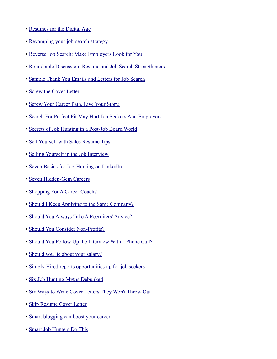- • [Resumes for the Digital Age](http://hotjobs.yahoo.com/career-articles-resumes_for_the_digital_age-1297)
- • [Revamping your job-search strategy](http://www.msnbc.msn.com/id/35605070/ns/business-careers/)
- • [Reverse Job Search: Make Employers Look for You](http://hotjobs.yahoo.com/career-articles-reverse_job_search_make_employers_look_for_you-1248)
- • [Roundtable Discussion: Resume and Job Search Strengtheners](http://www.resumewonders.com/blog/2010/06/04/roundtable-discussion-resume-and-job-search-strengtheners/)
- • [Sample Thank You Emails and Letters for Job Search](http://susanireland.com/letter/thank-you-letter-examples/)
- • [Screw the Cover Letter](http://alexandralevit.typepad.com/wcw/2010/10/screw-the-cover-letter.html)
- • [Screw Your Career Path. Live Your Story.](http://jasonseiden.com/screw-your-career-path-live-your-story/)
- • [Search For Perfect Fit May Hurt Job Seekers And Employers](http://www.courant.com/business/hc-perfectfit-atwork0125.artjan25,0,5875496.story)
- • [Secrets of Job Hunting in a Post-Job Board World](http://www.bnet.com/blog/entry-level/secrets-of-job-hunting-in-a-post-job-board-world/4245)
- • [Sell Yourself with Sales Resume Tips](http://career-advice.monster.com/resumes-cover-letters/resume-writing-tips/sell-yourself-sales-resume-tips/article.aspx)
- • [Selling Yourself in the Job Interview](http://hotjobs.yahoo.com/career-articles-selling_yourself_in_the_job_interview-1471)
- • [Seven Basics for Job-Hunting on LinkedIn](http://blogs.bnet.co.uk/sterling-performance/2010/04/13/seven-basics-for-job-hunting-on-linkedin/)
- • [Seven Hidden-Gem Careers](http://career-advice.monster.com/job-search/Company-Industry-Research/alternative-careers-less-stress/article.aspx?WT.mc_n=CRMUS000666)
- • [Shopping For A Career Coach?](http://abcnews.go.com/Business/shopping-career-coach/story?id=11480761)
- • [Should I Keep Applying to the Same Company?](http://www.bnet.com/blog/evil-hr-lady/should-i-keep-applying-to-the-same-company/619)
- • [Should You Always Take A Recruiters' Advice?](http://www.glassdoor.com/blog/recruiters-advice/)
- • [Should You Consider Non-Profits?](http://www.culpwrit.com/2010/01/15/should-you-consider-non-profits/)
- • [Should You Follow Up the Interview With a Phone Call?](http://www.usnews.com/money/blogs/outside-voices-careers/2010/3/4/should-you-follow-up-the-interview-with-a-phone-call.html)
- • [Should you lie about your salary?](http://money.cnn.com/2010/09/21/pf/lie_about_your_salary.moneymag/index.htm)
- • [Simply Hired reports opportunities up for job seekers](http://www.keppiecareers.com/2011/03/11/simply-hired-reports-opportunities-up-for-job-seekers/)
- • [Six Job Hunting Myths Debunked](http://www.foxbusiness.com/personal-finance/2010/08/16/job-hunting-myths-debunked/)
- • [Six Ways to Write Cover Letters They Won't Throw Out](http://www.poynter.org/column.asp?id=77&aid=187964)
- • [Skip Resume Cover Letter](http://www.culpwrit.com/2011/03/02/skip-resume-cover-letter/)
- • [Smart blogging can boost your career](http://www.msnbc.msn.com/id/35145337/ns/business-careers/)
- • [Smart Job Hunters Do This](http://www.employmentdigest.net/2010/10/smart-job-hunters-do-this/)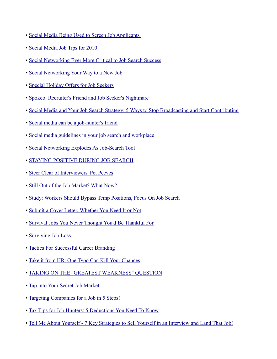- • [Social Media Being Used to Screen Job Applicants](http://ohmygov.com/blogs/general_news/archive/2010/04/01/social-media-being-used-to-discriminate-against-job-applicants.aspx)
- • [Social Media Job Tips for 2010](http://marie4jobs.com/?p=133)
- • [Social Networking Ever More Critical to Job Search Success](http://www.businessweek.com/idg/2010-06-30/social-networking-ever-more-critical-to-job-search-success.html)
- • [Social Networking Your Way to a New Job](http://www.nytimes.com/2010/08/26/education/26SOCIAL.html?_r=2)
- • [Special Holiday Offers for Job Seekers](http://alisondoyle.typepad.com/alison_doyle/2009/12/special-offers-for-job-seekers.html)
- • [Spokeo: Recruiter's Friend and Job Seeker's Nightmare](http://irishmanspeaks.typepad.com/irishmanspeaks/2010/02/spokeo-recruiters-friend-and-job-seekers-nightmare.html)
- • [Social Media and Your Job Search Strategy: 5 Ways to Stop Broadcasting and Start Contributing](http://windmillnetworking.com/2010/07/14/social-media-and-your-job-search-strategy-5-ways-to-stop-broadcasting-and-start-contributing/)
- • [Social media can be a job-hunter's friend](http://jacksonville.com/lifestyles/2010-01-20/story/social_media_can_be_a_job_hunters_friend)
- • [Social media guidelines in your job search and workplace](http://www.theworkbuzz.com/employment-trends/social-media-guidelines/)
- • [Social Networking Explodes As Job-Search Tool](http://www.talentmanagementtech.com/community/articles/3075_social_networking_explodes_as_job-search_tool_.html)
- • [STAYING POSITIVE DURING JOB SEARCH](http://timsstrategy.com/staying-positive-during-job-search/)
- • [Steer Clear of Interviewers' Pet Peeves](http://career-advice.monster.com/job-interview/interview-preparation/interviewers-pet-peeves/article.aspx?WT.mc_n=SM_PR_Twt_monstercareers)
- • [Still Out of the Job Market? What Now?](http://www.careerrocketeer.com/2011/01/still-out-of-the-job-market-what-now.html)
- • [Study: Workers Should Bypass Temp Positions, Focus On Job Search](http://www.wbur.org/2010/02/15/temp-study-two-way-2)
- • [Submit a Cover Letter, Whether You Need It or Not](http://www.pongoresume.com/blogPosts/504/submit-a-cover-letter-whether-you-need-it-or-not.cfm?utm_source=twitter&utm_medium=social-media)
- • [Survival Jobs You Never Thought You'd Be Thankful For](http://abcnews.go.com/Business/survival-jobs-poop-scooper-phone-actress/story?id=9175900)
- • [Surviving Job Loss](http://www.careerrocketeer.com/2009/09/surviving-job-loss.html)
- • [Tactics For Successful Career Branding](http://www.employmentdigest.net/2010/02/tactics-for-successful-career-branding/)
- • [Take it from HR: One Typo Can Kill Your Chances](http://www.pongoresume.com/blogPosts/436/take-it-from-hr-one-typo-can-kill-your-chances.cfm)
- • [TAKING ON THE "GREATEST WEAKNESS" QUESTION](http://melissacooley.com/2010/06/greatest-weakness-pov-3/)
- • [Tap into Your Secret Job Market](http://customsites.yahoo.com/financiallyfit/finance/article-108973-4364-4-tap-into-your-secret-job-market?ywaad=ad00%2035)
- • [Targeting Companies for a Job in 5 Steps!](http://www.careerrocketeer.com/2009/09/targeting-companies-for-job-in-5-steps.html)
- • [Tax Tips for Job Hunters: 5 Deductions You Need To Know](http://moneywatch.bnet.com/career-advice/blog/on-job/tax-tips-for-job-hunters-5-deductions-you-need-to-know/267/)
- • [Tell Me About Yourself 7 Key Strategies to Sell Yourself in an Interview and Land That Job!](http://www.employmentdigest.net/2010/08/tell-me-about-yourself-%E2%80%93-7-key-strategies-to-sell-yourself-in-an-interview-and-land-that-job/)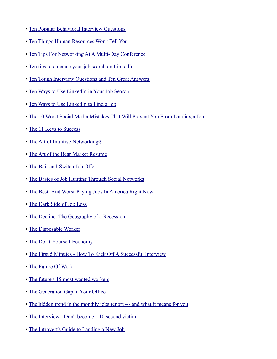- • [Ten Popular Behavioral Interview Questions](http://job-search-success-secrets.com/blog/ten-popular-behavioral-interview-questions)
- • [Ten Things Human Resources Won't Tell You](http://online.wsj.com/article/SB10001424052702303491304575188023801379324.html?mod=WSJ_newsreel_careers)
- • [Ten Tips For Networking At A Multi-Day Conference](http://thomsinger.blogspot.com/2011/02/networking-at-multi-day-conference.html)
- • [Ten tips to enhance your job search on LinkedIn](http://blog.linkedin.com/2009/04/02/ten-tips-to-enhance-your-job-search-on-linkedin/)
- Ten Tough Interview Questions and Ten Great Answers
- • [Ten Ways to Use LinkedIn in Your Job Search](http://www.businessweek.com/managing/content/jun2010/ca2010067_197297.htm)
- • [Ten Ways to Use LinkedIn to Find a Job](http://blog.guykawasaki.com/2009/02/10-ways-to-use.html#axzz0aIK5DMGB)
- • [The 10 Worst Social Media Mistakes That Will Prevent You From Landing a Job](http://www.connectworkchicago.com/2010/06/the-10-worst-social-media-mistakes-that-will-prevent-you-from-landing-a-jo%20b/)
- • [The 11 Keys to Success](http://msn.careerbuilder.com/Article/MSN-2227-Career-Growth-and-Change-The-11-Keys-to-Success)
- The Art of Intuitive Networking<sup>®</sup>
- • [The Art of the Bear Market Resume](http://www.myglobalcareer.com/2010/06/28/the-art-of-the-bear-market-resume/)
- • [The Bait-and-Switch Job Offer](http://jobs.aol.com/articles/2010/10/02/bait-and-switch-job-offer)
- • [The Basics of Job Hunting Through Social Networks](http://blogs.wsj.com/hire-education/2010/05/03/the-basics-of-job-hunting-through-social-networks/)
- • [The Best- And Worst-Paying Jobs In America Right Now](http://www.businessinsider.com/the-best-and-worst-paying-jobs-in-america-right-now-2010-5)
- • [The Dark Side of Job Loss](http://www.jibberjobber.com/blog/2010/10/18/the-dark-side-of-job-loss/)
- • [The Decline: The Geography of a Recession](http://cohort11.americanobserver.net/latoyaegwuekwe/multimediafinal.html)
- • [The Disposable Worker](http://www.businessweek.com/magazine/content/10_03/b4163032935448.htm)
- • [The Do-It-Yourself Economy](http://www.nytimes.com/2009/12/13/opinion/13friedman.html?_r=1&sudsredirect=true)
- • [The First 5 Minutes How To Kick Off A Successful Interview](http://timsstrategy.com/the-first-5-minutes-how-to-kick-off-a-successful-interview/)
- • [The Future Of Work](http://www.chrisbrogan.com/the-future-of-work/)
- • [The future's 15 most wanted workers](http://www.theworkbuzz.com/employment-trends/most-wanted-workers/)
- • [The Generation Gap in Your Office](http://blog.socialcast.com/the-generation-gap-in-your-office/)
- • [The hidden trend in the monthly jobs report --- and what it means for you](http://www.paulacaligiuri.com/blog/hidden-trend-monthly-jobs-report-and-what-it-means-you)
- • [The Interview Don't become a 10 second victim](http://www.employmentdigest.net/2010/02/the-interview-dont-become-a-10-second-victim-2/)
- • [The Introvert's Guide to Landing a New Job](http://www.thewisejobsearch.com/2009/09/introverts-guide-to-landing-new-job.html)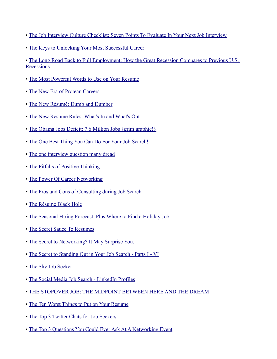- • [The Job Interview Culture Checklist: Seven Points To Evaluate In Your Next Job Interview](http://www.glassdoor.com/blog/job-interview-culture-checklist-points-evaluate-job-interview/)
- • [The Keys to Unlocking Your Most Successful Career](http://online.wsj.com/article/SB10001424052748704293604575343322516508414.html)

• [The Long Road Back to Full Employment: How the Great Recession Compares to Previous U.S.](http://www.brookings.edu/opinions/2010/0806_employment_looney_greenstone.aspx) **[Recessions](http://www.brookings.edu/opinions/2010/0806_employment_looney_greenstone.aspx)** 

- • [The Most Powerful Words to Use on Your Resume](http://money.usnews.com/money/blogs/outside-voices-careers/2010/11/24/the-most-powerful-words-to-use-on-your-resume.html)
- • [The New Era of Protean Careers](http://www.personalbrandingblog.com/the-new-era-of-protean-careers-2)
- • [The New Résumé: Dumb and Dumber](http://online.wsj.com/article/SB124328878436252195.html)
- • [The New Resume Rules: What's In and What's Out](http://hotjobs.yahoo.com/career-articles-the_new_resume_rules_what_s_in_and_what_s_out-1056)
- • [The Obama Jobs Deficit: 7.6 Million Jobs {grim graphic!}](http://floridapundit.com/2010/08/the-obama-jobs-deficit-7-6-million-jobs/)
- • [The One Best Thing You Can Do For Your Job Search!](http://www.careerrocketeer.com/2009/09/one-best-thing-you-can-do-for-your-job.html)
- • [The one interview question many dread](http://www.philly.com/philly/jobs/CTW_jobs_20091117_The_one_interview_question_many_dread.html)
- • [The Pitfalls of Positive Thinking](http://cormackcarr.com/2009/08/01/the-pitfalls-of-positive-thinking/)
- • [The Power Of Career Networking](http://timsstrategy.com/the-power-of-career-networking/)
- • [The Pros and Cons of Consulting during Job Search](http://blog.spinstrategy.com/2009/03/the-pros-and-cons-of-consulting-during-job-search-.html)
- • [The Résumé Black Hole](http://www.careerbuilder.com/Article/CB-1321-Cover-Letters-and-Resumes-The-R%C3%A9sum%C3%A9-Black-Hole/)
- • [The Seasonal Hiring Forecast, Plus Where to Find a Holiday Job](http://www.theworkbuzz.com/job-search/the-seasonal-hiring-forecast-plus-where-to-find-a-holiday-job/)
- • [The Secret Sauce To Resumes](http://www.brazencareerist.com/2010/08/17/the-secret-sauce-to-resumes)
- • [The Secret to Networking? It May Surprise You.](http://blog.cornerofficecoach.com/2011/03/13/the-secret-to-networking/)
- • [The Secret to Standing Out in Your Job Search Parts I VI](http://job-search-success-secrets.com/blog/secret-standing-job-search-part-vi)
- • [The Shy Job Seeker](http://www.psychologytoday.com/blog/career-transitions/201005/the-shy-job-seeker)
- • [The Social Media Job Search LinkedIn Profiles](http://www.myragan.com/_weblog/?id=Ragan/chewitt&blogid=82642)
- • [THE STOPOVER JOB: THE MIDPOINT BETWEEN HERE AND THE DREAM](http://www.kristidaeda.com/2009/12/07/the-stopover-job-the-midpoint-between-here-and-the-dream/)
- • [The Ten Worst Things to Put on Your Resume](http://www.fins.com/Finance/Articles/SB130021278360394737/The-Ten-Worst-Things-to-Put-on-Your-Resume)
- • [The Top 3 Twitter Chats for Job Seekers](http://www.avidcareerist.com/2010/10/24/the-top-3-twitter-chats-for-job-seekers/)
- • [The Top 3 Questions You Could Ever Ask At A Networking Event](http://unstrappd.com/2009/11/03/become-a-networking-champion-with-3-questions/)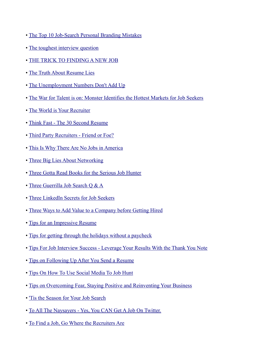- • [The Top 10 Job-Search Personal Branding Mistakes](http://www.employmentdigest.net/2010/01/the-top-10-job-search-personal-branding-mistakes/)
- • [The toughest interview question](http://upstarthr.com/the-toughest-interview-question/)
- • [THE TRICK TO FINDING A NEW JOB](http://timsstrategy.com/the-trick-to-finding-a-new-job/)
- • [The Truth About Resume Lies](http://career-advice.monster.com/resumes-cover-letters/resume-writing-tips/the-truth-about-resume-lies-hot-jobs/article.aspx?WT.mc_n=SM_PR_Twt_monstercareers)
- • [The Unemployment Numbers Don't Add Up](http://www.personalbrandingblog.com/the-unemployment-numbers-don%C3%A2%C2%80%C2%99t-add-up)
- • [The War for Talent is on: Monster Identifies the Hottest Markets for Job Seekers](http://about-monster.com/content/war-talent-monster-identifies-hottest-markets-job-seekers)
- • [The World is Your Recruiter](http://mervyndinnen.wordpress.com/2010/08/19/the-world-is-your-recruiter/)
- • [Think Fast The 30 Second Resume](http://blog.doostang.com/2010/03/15/doostang-news-march-15-think-fast-the-30-second-resume/)
- • [Third Party Recruiters Friend or Foe?](http://content.opportunityknocks.org/2010/06/14/third-party-recruiters-friend-or-foe/)
- • [This Is Why There Are No Jobs in America](http://www.dailywealth.com/1449/This-Is-Why-There-Are-No-Jobs-in-America)
- • [Three Big Lies About Networking](http://www.entrepreneur.com/article/217349)
- • [Three Gotta Read Books for the Serious Job Hunter](http://www.careerjockey.org/three-gotta-read-books-for-the-serious-job-hunter/)
- • [Three Guerrilla Job Search Q & A](http://www.startribune.com/jobs/career/104277504.html)
- • [Three LinkedIn Secrets for Job Seekers](http://studentbranding.com/three-linkedin-secrets-for-job-seekers/)
- • [Three Ways to Add Value to a Company before Getting Hired](http://melissacooley.com/2011/02/3-ways-add-value-before-hired/)
- • [Tips for an Impressive Resume](http://www.trcb.com/employment/resumes/tips-for-an-impressive-resume-1660.htm)
- • [Tips for getting through the holidays without a paycheck](http://www.mercurynews.com/breaking-news/ci_14028442?nclick_check=1)
- • [Tips For Job Interview Success Leverage Your Results With the Thank You Note](http://www.employmentdigest.net/2009/12/tips-for-job-interview-success-leverage-your-results-with-the-thank-you-note/)
- • [Tips on Following Up After You Send a Resume](http://money.usnews.com/money/blogs/outside-voices-careers/2010/10/7/following-up-after-you-have-sent-a-resume.html)
- • [Tips On How To Use Social Media To Job Hunt](http://www.walletpop.com/blog/2010/11/07/tips-on-how-to-use-social-media-to-job-hunt/)
- • [Tips on Overcoming Fear, Staying Positive and Reinventing Your Business](http://techcocktail.com/home/2010/07/18/overcoming-fear-staying-positive-and-reinventing-your-business-with-gini-dietrich/)
- • ['Tis the Season for Your Job Search](http://hotjobs.yahoo.com/career-articles-_tis_the_season_for_your_job_search-1468)
- • [To All The Naysayers Yes, You CAN Get A Job On Twitter.](http://blog.matrixresources.com/blog/all-naysayers-yes-you-can-get-job-twitter)
- • [To Find a Job, Go Where the Recruiters Are](http://hotjobs.yahoo.com/career-articles-to_find_a_job_go_where_the_recruiters_are-1155)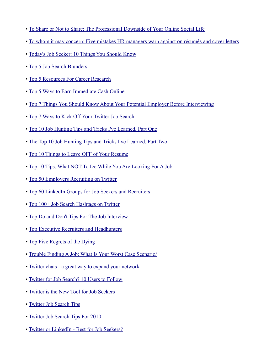- • [To Share or Not to Share: The Professional Downside of Your Online Social Life](http://blog.doostang.com/2009/08/21/to-share-or-not-to-share-the-professional-downside-of-your-online-social-life)
- • [To whom it may concern: Five mistakes HR managers warn against on résumés and cover letters](http://www.prsa.org/intelligence/tactics/articles/view/7256/101/to_whom_it_may_concern_five_mistakes_hr_managers_w)
- • [Today's Job Seeker: 10 Things You Should Know](http://thehiringsite.careerbuilder.com/2010/11/17/10-things-to-know-about-job-seekers/)
- • [Top 5 Job Search Blunders](http://www.theundercoverrecruiter.com/content/top-5-job-search-blunders)
- • [Top 5 Resources For Career Research](http://www.employmentdigest.net/2010/06/top-5-resources-for-career-research)
- • [Top 5 Ways to Earn Immediate Cash Online](http://www.hudsonconverts.com/top-5-ways-to-earn-immediate-cash-online.html)
- • [Top 7 Things You Should Know About Your Potential Employer Before Interviewing](http://www.employmentdigest.net/2010/08/top-7-things-you-should-know-about-your-potential-employer-before-interviewing/)
- • [Top 7 Ways to Kick Off Your Twitter Job Search](http://www.theundercoverrecruiter.com/content/top-7-ways-kick-your-twitter-job-search)
- • [Top 10 Job Hunting Tips and Tricks I've Learned, Part One](http://rodneysjobquest.wordpress.com/2010/01/20/top-10-job-hunting-tips-1/)
- • [The Top 10 Job Hunting Tips and Tricks I've Learned, Part Two](http://rodneysjobquest.wordpress.com/2010/01/21/job-hunting-tips-2/)
- • [Top 10 Things to Leave OFF of Your Resume](http://blog.fishdogs.com/2009/04/top-10-things-to-leave-off-of-your.html)
- • [Top 10 Tips: What NOT To Do While You Are Looking For A Job](http://www.hrmargo.com/2010/06/29/top-10-tips-for-what-not-to-do-while-you-are-looking-for-a-job/)
- • [Top 50 Employers Recruiting on Twitter](http://www.job-hunt.org/job-search-news/2009/06/09/top-50-employers-recruiting-on-twitter/)
- • [Top 60 LinkedIn Groups for Job Seekers and Recruiters](http://jobmob.co.il/blog/top-linkedin-groups-job-seekers-recruiters/)
- • [Top 100+ Job Search Hashtags on Twitter](http://www.careerrocketeer.com/2009/09/top-100-job-search-hashtags-on-twitter.html)
- • [Top Do and Don't Tips For The Job Interview](http://employmentdigest.net/2011/02/5005/)
- • [Top Executive Recruiters and Headhunters](http://www.jobconcierge.com/best-executive-recruiters/E-commerce-executive-recruiters)
- • [Top Five Regrets of the Dying](http://ezinearticles.com/?Top-Five-Regrets-of-the-Dying&id=3268063)
- • [Trouble Finding A Job: What Is Your Worst Case Scenario/](http://timsstrategy.com/trouble-finding-a-job-what-is-your-worst-case-scenario?)
- • [Twitter chats a great way to expand your network](http://www.keppiecareers.com/2010/05/24/twitter-chats-a-great-way-to-expand-your-network/)
- • [Twitter for Job Search? 10 Users to Follow](http://www.jobacle.com/blog/twitter-for-job-search-10-users-to-follow.html)
- • [Twitter is the New Tool for Job Seekers](http://www.careerealism.com/twitter-tool-job-seekers/)
- • [Twitter Job Search Tips](http://jobsearch.about.com/b/2010/01/13/twitter-job-search-tips.htm)
- • [Twitter Job Search Tips For 2010](http://www.hrmargo.com/2010/07/16/marie-journeys-guest-post-how-to-be-found-on-twitter/)
- • [Twitter or LinkedIn Best for Job Seekers?](http://jobtransitionadvice.com/2010/10/07/twitter-or-linkedin-best-for-job-seekers/)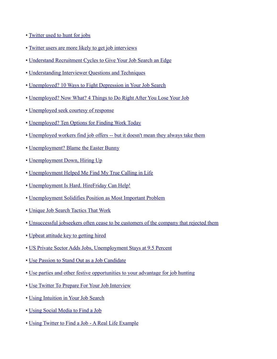- • [Twitter used to hunt for jobs](http://www.couriermail.com.au/business/jobs/twitter-used-to-hunt-for-jobs/story-e6freqo6-1225899400016)
- • [Twitter users are more likely to get job interviews](http://www.keppiecareers.com/2010/07/09/twitter-users-are-more-likely-to-get-job-interviews/)
- • [Understand Recruitment Cycles to Give Your Job Search an Edge](http://career-advice.monster.com/job-search/getting-started/job-search-recruitment-cycles/article.aspx)
- • [Understanding Interviewer Questions and Techniques](http://www.theundercoverrecruiter.com/content/understanding-interviewer-questions-and-techniques)
- • [Unemployed? 10 Ways to Fight Depression in Your Job Search](http://www.cio.com/article/587932/Unemployed_10_Ways_to_Fight_Depression_in_Your_Job_Search_)
- • [Unemployed? Now What? 4 Things to Do Right After You Lose Your Job](http://employmentdigest.net/2011/03/unemployed-now-what-4-things-to-do-right-after-you-lose-your-job)
- • [Unemployed seek courtesy of response](http://www.stltoday.com/business/columns/job-watch/article_9b76e78b-8edc-5702-8ec0-ff435aa3562f.html)
- • [Unemployed? Ten Options for Finding Work Today](http://financialhighway.com/unemployed-ten-options-for-finding-work-today/)
- • [Unemployed workers find job offers -- but it doesn't mean they always take them](http://www.pittsburghlive.com/x/pittsburghtrib/business/s_707225.html)
- • [Unemployment? Blame the Easter Bunny](http://money.cnn.com/2010/04/29/news/economy/ceasar_chavez_unemployement.fortune/)
- • [Unemployment Down, Hiring Up](http://jobsearch.about.com/b/2010/06/04/unemployment-down-hiring-up.htm)
- • [Unemployment Helped Me Find My True Calling in Life](http://careerenlightenment.net/confidence/unemployment-helped-me-find-my-true-calling-in-life)
- • [Unemployment Is Hard. HireFriday Can Help!](http://www.hrmargo.com/2010/08/10/unemployment-is-hard-hirefriday-can-help/)
- • [Unemployment Solidifies Position as Most Important Problem](http://www.gallup.com/poll/146081/Unemployment-Solidifies-Position-Important-Problem.aspx)
- • [Unique Job Search Tactics That Work](http://finance.yahoo.com/career-work/article/109910/unique-job-search-tactics-that-work)
- • [Unsuccessful jobseekers often cease to be customers of the company that rejected them](http://www.hrmagazine.co.uk/News/MostEmailed/1008593/Unsuccessful-jobseekers-often-cease-customers-company-rejected/)
- • [Upbeat attitude key to getting hired](http://www.sun-sentinel.com/business/fl-marcia-hiring-20100407,0,3980438.column)
- • [US Private Sector Adds Jobs, Unemployment Stays at 9.5 Percent](http://www1.voanews.com/english/news/US-Private-Sector-Adds-Jobs-Unemployment-Stays-at-95-Percent-100114124.html)
- • [Use Passion to Stand Out as a Job Candidate](http://money.usnews.com/money/blogs/outside-voices-careers/2011/2/3/how-to-use-your-passion-to-stand-out-as-a-job-candidate.html)
- • [Use parties and other festive opportunities to your advantage for job hunting](http://www.keppiecareers.com/2009/12/04/use-parties-and-other-festive-opportunities-to-your-advantage-for-job-hunting/)
- • [Use Twitter To Prepare For Your Job Interview](http://recareered.blogspot.com/2010/01/use-twitter-to-prepare-for-your-job.html)
- • [Using Intuition in Your Job Search](http://hotjobs.yahoo.com/career-articles-using_intuition_in_your_job_search-1144)
- • [Using Social Media to Find a Job](http://www.spinsucks.com/communication/happo-communication/using-social-media-to-find-a-job/)
- • [Using Twitter to Find a Job A Real Life Example](http://matrixresourcesblog.com/2010/02/23/using-twitter-to-find-a-job-a-real-life-example/)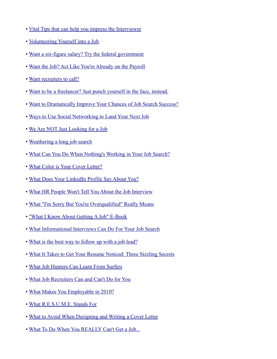- • [Vital Tips that can help you impress the Interviewer](http://www.trcb.com/employment/interview-tips/vital-tips-that-can-help-you-impress-the-interviewer-1657.htm)
- • [Volunteering Yourself into a Job](http://hotjobs.yahoo.com/career-articles-volunteering_yourself_into_a_job-1143)
- • [Want a six-figure salary? Try the federal government](http://www.theworkbuzz.com/salary/six-figure-federal-jobs/)
- • [Want the Job? Act Like You're Already on the Payroll](http://blogs.bnet.com/career-advice/?p=193&tag=col1;post-193)
- • [Want recruiters to call?](http://www.thewisejobsearch.com/2010/08/want-recruiters-to-call.html)
- • [Want to be a freelancer? Just punch yourself in the face, instead.](http://terribleminds.com/ramble/2010/09/07/want-to-be-a-freelancer-just-punch-yourself-in-the-face-instead/)
- • [Want to Dramatically Improve Your Chances of Job Search Success?](http://www.employmentdigest.net/2010/03/want-to-dramatically-improve-your-chances-of-job-search-success/)
- • [Ways to Use Social Networking to Land Your Next Job](http://www.washingtonpost.com/wp-dyn/content/article/2010/07/03/AR2010070300078.html?wprss=rss_nation)
- • [We Are NOT Just Looking for a Job](http://www.careerrocketeer.com/2011/02/we-are-not-just-looking-for-a-job.html)
- • [Weathering a long job search](http://money.cnn.com/2010/04/02/news/economy/long_job_search.moneymag/index.htm)
- • [What Can You Do When Nothing's Working in Your Job Search?](http://recareered.blogspot.com/2009/12/what-can-you-do-when-nothing-is-working.html)
- • [What Color is Your Cover Letter?](http://www.employmentdigest.net/2010/09/what-color-is-your-cover-letter-how-to-write-a-cover-letter-that-gets-you/)
- • [What Does Your LinkedIn Profile Say About You?](http://matrixresourcesblog.com/2010/04/08/what-does-your-linkedin-profile-say-about-you/)
- • [What HR People Won't Tell You About the Job Interview](http://www.rd.com/13-things/what-hr-people-wont-tell-you-about-the-job-interview/)
- • [What "I'm Sorry But You're Overqualified" Really Means](http://www.thingstheydont.com/2010/05/what-im-sorry-but-youre-overqualified.html)
- • ["What I Know About Getting A Job" E-Book](http://www.cornonthejob.com/career-advice/what-i-know-about-getting-a-job-the-ebook/)
- • [What Informational Interviews Can Do For Your Job Search](http://www.careerrocketeer.com/2010/10/what-informational-interviews-can-do.html)
- • [What is the best way to follow up with a job lead?](http://www.keppiecareers.com/2010/07/07/what-is-the-best-way-to-follow-up-with-a-job-lead/)
- • [What It Takes to Get Your Resume Noticed: Three Sizzling Secrets](http://jobs.aol.com/articles/2011/03/07/what-it-takes-to-get-your-resume-noticed-three-sizzling-secrets)
- • [What Job Hunters Can Learn From Surfers](http://blogs.wsj.com/hire-education/2010/07/30/what-job-hunters-can-learn-from-surfers/)
- • [What Job Recruiters Can and Can't Do for You](http://money.usnews.com/money/blogs/outside-voices-careers/2010/9/24/what-job-recruiters-can-and-cant-do-for-you.html)
- • [What Makes You Employable in 2010?](http://adage.com/talentworks/article?article_id=141853)
- • [What R.E.S.U.M.E. Stands For](http://newgradlife.blogspot.com/2010/07/resume-writing-resume-templates-career.html)
- • [What to Avoid When Designing and Writing a Cover Letter](http://www.careerealism.com/avoid-designing-writing-cover-letter/)
- • [What To Do When You REALLY Can't Get a Job...](http://www.careerhubblog.com/main/2010/03/what-to-do-when-you-really-cant-get-a-job.html)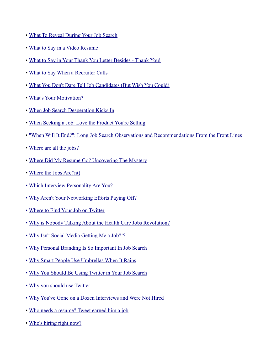- • [What To Reveal During Your Job Search](http://www.forbes.com/2010/02/03/job-search-secrets-leadership-careers-reveal.html)
- • [What to Say in a Video Resume](http://www.employmentdigest.net/2010/05/what-to-say-in-a-video-resume/)
- • [What to Say in Your Thank You Letter Besides Thank You!](http://www.careerealism.com/letter/)
- • [What to Say When a Recruiter Calls](http://guides.wsj.com/careers/how-to-work-with-executive-recruiters/what-to-say-when-a-recruiter-calls/)
- • [What You Don't Dare Tell Job Candidates \(But Wish You Could\)](http://www.tlnt.com/2010/11/09/what-you-dont-dare-tell-job-candidates-but-wish-you-could/)
- • [What's Your Motivation?](http://careersherpa.net/whats-your-motivation/)
- • [When Job Search Desperation Kicks In](http://www.careerbuilder.com/Article/CB-1455-Job-Search-When-Job-Search-Desperation-Kicks-In/)
- • [When Seeking a Job: Love the Product You're Selling](http://www.personalbrandingblog.com/when-seeking-a-job-love-the-product-you%C3%A2%C2%80%C2%99re-selling)
- • ["When Will It End?": Long Job Search Observations and Recommendations From the Front Lines](http://www.culpwrit.com/2010/10/13/when-will-it-end-long-job-search-observations-and-recommendations/)
- • [Where are all the jobs?](http://www.careerrocketeer.com/2009/12/where-are-all-jobs.html)
- • [Where Did My Resume Go? Uncovering The Mystery](http://www.pongoresume.com/blogPosts/697/where-did-my-resume-go-uncovering-the-mystery.cfm)
- • [Where the Jobs Are\('nt\)](http://www.culpwrit.com/2010/11/09/where-the-jobs-arent/)
- • [Which Interview Personality Are You?](http://www.careerrocketeer.com/2010/06/which-interview-personality-are-you.html)
- • [Why Aren't Your Networking Efforts Paying Off?](http://blog.achieve-momentum.com/?p=851)
- • [Where to Find Your Job on Twitter](http://www.careerrocketeer.com/2009/05/where-to-find-your-job-on-twitter.html)
- • [Why is Nobody Talking About the Health Care Jobs Revolution?](http://www.businesspundit.com/why-is-nobody-talking-about-the-health-care-jobs-revolution/)
- [Why Isn't Social Media Getting Me a Job?!?](http://www.careerrocketeer.com/2009/06/why-isn-social-media-getting-me-job.html)
- • [Why Personal Branding Is So Important In Job Search](http://timsstrategy.com/why-personal-branding-is-so-important-in-job-search/)
- • [Why Smart People Use Umbrellas When It Rains](http://www.cluewagon.com/2009/12/why-smart-people-use-umbrellas-when-it-rains)
- • [Why You Should Be Using Twitter in Your Job Search](http://hotjobs.yahoo.com/career-articles-why_you_should_be_using_twitter_in_your_job_search-1235)
- • [Why you should use Twitter](http://www.keppiecareers.com/2011/03/03/why-you-should-use-twitter/)
- • [Why You've Gone on a Dozen Interviews and Were Not Hired](http://www.careerrocketeer.com/2009/09/why-youve-gone-on-dozen-interviews-and.html)
- • [Who needs a resume? Tweet earned him a job](http://www.msnbc.msn.com/id/34368627/ns/business-careers/)
- • [Who's hiring right now?](http://www.theworkbuzz.com/job-search/whos-hiring-march/)